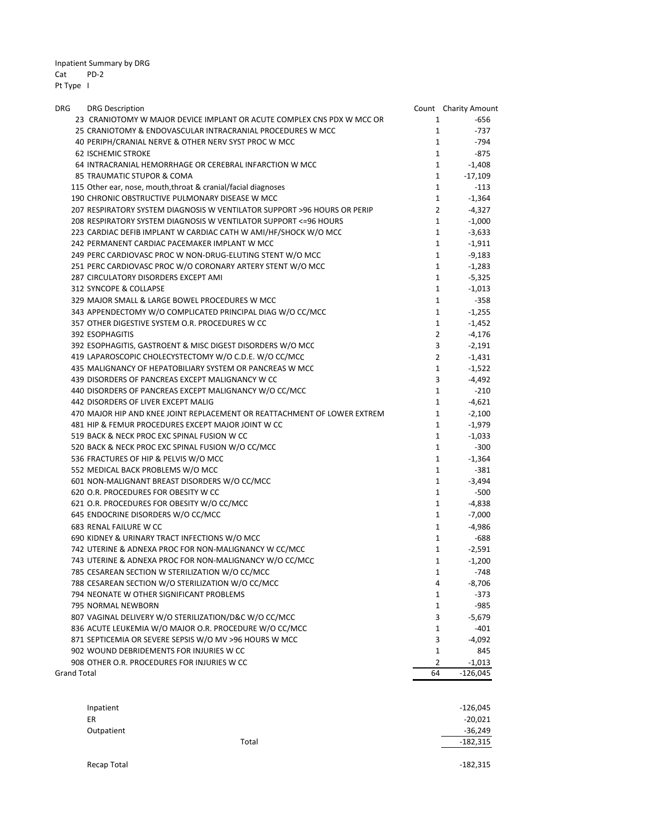Inpatient Summary by DRG Cat PD‐2

Pt Type I

| DRG                | <b>DRG Description</b>                                                   |                         | Count Charity Amount |
|--------------------|--------------------------------------------------------------------------|-------------------------|----------------------|
|                    | 23 CRANIOTOMY W MAJOR DEVICE IMPLANT OR ACUTE COMPLEX CNS PDX W MCC OR   | 1                       | -656                 |
|                    | 25 CRANIOTOMY & ENDOVASCULAR INTRACRANIAL PROCEDURES W MCC               | $\mathbf{1}$            | $-737$               |
|                    | 40 PERIPH/CRANIAL NERVE & OTHER NERV SYST PROC W MCC                     | $\mathbf{1}$            | -794                 |
|                    | <b>62 ISCHEMIC STROKE</b>                                                | $\mathbf{1}$            | $-875$               |
|                    | 64 INTRACRANIAL HEMORRHAGE OR CEREBRAL INFARCTION W MCC                  | $\mathbf{1}$            | $-1,408$             |
|                    | 85 TRAUMATIC STUPOR & COMA                                               | $\mathbf{1}$            | -17,109              |
|                    | 115 Other ear, nose, mouth, throat & cranial/facial diagnoses            | $\mathbf{1}$            | $-113$               |
|                    | 190 CHRONIC OBSTRUCTIVE PULMONARY DISEASE W MCC                          | $\mathbf{1}$            | $-1,364$             |
|                    | 207 RESPIRATORY SYSTEM DIAGNOSIS W VENTILATOR SUPPORT >96 HOURS OR PERIP | $\overline{2}$          | $-4,327$             |
|                    | 208 RESPIRATORY SYSTEM DIAGNOSIS W VENTILATOR SUPPORT <= 96 HOURS        | $\mathbf{1}$            | $-1,000$             |
|                    | 223 CARDIAC DEFIB IMPLANT W CARDIAC CATH W AMI/HF/SHOCK W/O MCC          | $\mathbf{1}$            | $-3,633$             |
|                    | 242 PERMANENT CARDIAC PACEMAKER IMPLANT W MCC                            | $\mathbf{1}$            | $-1,911$             |
|                    | 249 PERC CARDIOVASC PROC W NON-DRUG-ELUTING STENT W/O MCC                | $\mathbf{1}$            | $-9,183$             |
|                    | 251 PERC CARDIOVASC PROC W/O CORONARY ARTERY STENT W/O MCC               | $\mathbf{1}$            | $-1,283$             |
|                    | 287 CIRCULATORY DISORDERS EXCEPT AMI                                     | $\mathbf{1}$            | $-5,325$             |
|                    | 312 SYNCOPE & COLLAPSE                                                   | $\mathbf{1}$            | -1,013               |
|                    | 329 MAJOR SMALL & LARGE BOWEL PROCEDURES W MCC                           | $\mathbf{1}$            | $-358$               |
|                    | 343 APPENDECTOMY W/O COMPLICATED PRINCIPAL DIAG W/O CC/MCC               | $\mathbf{1}$            | $-1,255$             |
|                    | 357 OTHER DIGESTIVE SYSTEM O.R. PROCEDURES W CC                          | $\mathbf{1}$            | $-1,452$             |
|                    | 392 ESOPHAGITIS                                                          | $\overline{2}$          | $-4,176$             |
|                    | 392 ESOPHAGITIS, GASTROENT & MISC DIGEST DISORDERS W/O MCC               | $\overline{\mathbf{3}}$ | $-2,191$             |
|                    | 419 LAPAROSCOPIC CHOLECYSTECTOMY W/O C.D.E. W/O CC/MCC                   | $\overline{2}$          | $-1,431$             |
|                    | 435 MALIGNANCY OF HEPATOBILIARY SYSTEM OR PANCREAS W MCC                 | $\mathbf{1}$            | $-1,522$             |
|                    | 439 DISORDERS OF PANCREAS EXCEPT MALIGNANCY W CC                         | 3                       | $-4,492$             |
|                    | 440 DISORDERS OF PANCREAS EXCEPT MALIGNANCY W/O CC/MCC                   | $\mathbf{1}$            | $-210$               |
|                    | 442 DISORDERS OF LIVER EXCEPT MALIG                                      | $\mathbf{1}$            | $-4,621$             |
|                    | 470 MAJOR HIP AND KNEE JOINT REPLACEMENT OR REATTACHMENT OF LOWER EXTREM | $\mathbf{1}$            | $-2,100$             |
|                    | 481 HIP & FEMUR PROCEDURES EXCEPT MAJOR JOINT W CC                       | $\mathbf{1}$            | $-1,979$             |
|                    | 519 BACK & NECK PROC EXC SPINAL FUSION W CC                              | 1                       | $-1,033$             |
|                    | 520 BACK & NECK PROC EXC SPINAL FUSION W/O CC/MCC                        | $\mathbf{1}$            | $-300$               |
|                    | 536 FRACTURES OF HIP & PELVIS W/O MCC                                    | $\mathbf{1}$            | $-1,364$             |
|                    | 552 MEDICAL BACK PROBLEMS W/O MCC                                        | $\mathbf{1}$            | $-381$               |
|                    | 601 NON-MALIGNANT BREAST DISORDERS W/O CC/MCC                            | $\mathbf{1}$            | $-3,494$             |
|                    | 620 O.R. PROCEDURES FOR OBESITY W CC                                     | $\mathbf{1}$            | $-500$               |
|                    | 621 O.R. PROCEDURES FOR OBESITY W/O CC/MCC                               | $\mathbf{1}$            | -4,838               |
|                    | 645 ENDOCRINE DISORDERS W/O CC/MCC                                       | $\mathbf{1}$            | $-7,000$             |
|                    | 683 RENAL FAILURE W CC                                                   | $\mathbf{1}$            | $-4,986$             |
|                    | 690 KIDNEY & URINARY TRACT INFECTIONS W/O MCC                            | $\mathbf{1}$            | -688                 |
|                    | 742 UTERINE & ADNEXA PROC FOR NON-MALIGNANCY W CC/MCC                    |                         | $1 \quad$<br>-2,591  |
|                    | 743 UTERINE & ADNEXA PROC FOR NON-MALIGNANCY W/O CC/MCC                  | $\mathbf{1}$            | $-1,200$             |
|                    | 785 CESAREAN SECTION W STERILIZATION W/O CC/MCC                          | $\mathbf{1}$            | $-748$               |
|                    | 788 CESAREAN SECTION W/O STERILIZATION W/O CC/MCC                        | 4                       | $-8,706$             |
|                    | 794 NEONATE W OTHER SIGNIFICANT PROBLEMS                                 | 1                       | -373                 |
|                    | 795 NORMAL NEWBORN                                                       | $\mathbf{1}$            | -985                 |
|                    | 807 VAGINAL DELIVERY W/O STERILIZATION/D&C W/O CC/MCC                    | 3                       | $-5,679$             |
|                    | 836 ACUTE LEUKEMIA W/O MAJOR O.R. PROCEDURE W/O CC/MCC                   | 1                       | -401                 |
|                    | 871 SEPTICEMIA OR SEVERE SEPSIS W/O MV >96 HOURS W MCC                   | 3                       | $-4,092$             |
|                    | 902 WOUND DEBRIDEMENTS FOR INJURIES W CC                                 | $\mathbf{1}$            | 845                  |
|                    | 908 OTHER O.R. PROCEDURES FOR INJURIES W CC                              | 2                       | $-1,013$             |
| <b>Grand Total</b> |                                                                          | 64                      | $-126,045$           |

| Inpatient<br>ER |       | $-126,045$<br>$-20,021$ |
|-----------------|-------|-------------------------|
| Outpatient      |       | $-36,249$               |
|                 | Total | $-182,315$              |
|                 |       | $-182,315$              |
| Recap Total     |       |                         |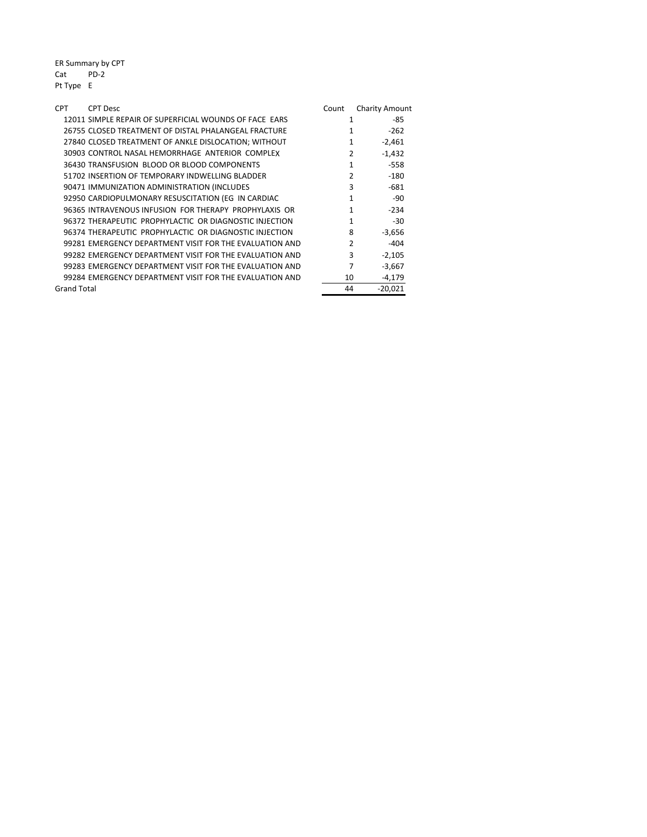ER Summary by CPT Cat PD‐2 Pt Type E

| <b>CPT</b><br><b>CPT Desc</b>                           | Count         | <b>Charity Amount</b> |
|---------------------------------------------------------|---------------|-----------------------|
| 12011 SIMPLE REPAIR OF SUPERFICIAL WOUNDS OF FACE EARS  | 1             | -85                   |
| 26755 CLOSED TREATMENT OF DISTAL PHALANGEAL FRACTURE    |               | $-262$                |
| 27840 CLOSED TREATMENT OF ANKLE DISLOCATION; WITHOUT    | 1             | $-2,461$              |
| 30903 CONTROL NASAL HEMORRHAGE ANTERIOR COMPLEX         | 2             | $-1,432$              |
| 36430 TRANSFUSION BLOOD OR BLOOD COMPONENTS             | 1             | $-558$                |
| 51702 INSERTION OF TEMPORARY INDWELLING BLADDER         | $\mathcal{P}$ | -180                  |
| 90471 IMMUNIZATION ADMINISTRATION (INCLUDES             | 3             | $-681$                |
| 92950 CARDIOPULMONARY RESUSCITATION (EG IN CARDIAC      | 1             | -90                   |
| 96365 INTRAVENOUS INFUSION FOR THERAPY PROPHYLAXIS OR   | 1             | $-234$                |
| 96372 THERAPEUTIC PROPHYLACTIC OR DIAGNOSTIC INJECTION  | 1             | $-30$                 |
| 96374 THERAPEUTIC PROPHYLACTIC OR DIAGNOSTIC INJECTION  | 8             | $-3,656$              |
| 99281 EMERGENCY DEPARTMENT VISIT FOR THE EVALUATION AND | $\mathcal{P}$ | -404                  |
| 99282 EMERGENCY DEPARTMENT VISIT FOR THE EVALUATION AND | 3             | $-2,105$              |
| 99283 EMERGENCY DEPARTMENT VISIT FOR THE EVALUATION AND | 7             | $-3,667$              |
| 99284 EMERGENCY DEPARTMENT VISIT FOR THE EVALUATION AND | 10            | $-4,179$              |
| Grand Total                                             | 44            | $-20,021$             |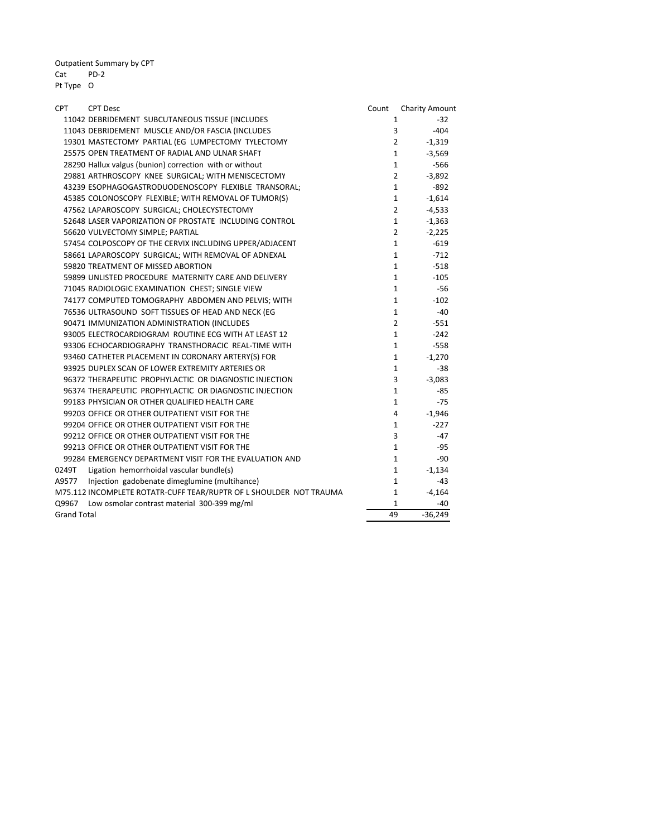Outpatient Summary by CPT Cat PD‐2 Pt Type O

| <b>CPT</b>         | <b>CPT Desc</b>                                                    | Count | <b>Charity Amount</b>      |
|--------------------|--------------------------------------------------------------------|-------|----------------------------|
|                    | 11042 DEBRIDEMENT SUBCUTANEOUS TISSUE (INCLUDES                    |       | $-32$<br>1                 |
|                    | 11043 DEBRIDEMENT MUSCLE AND/OR FASCIA (INCLUDES                   |       | 3<br>$-404$                |
|                    | 19301 MASTECTOMY PARTIAL (EG LUMPECTOMY TYLECTOMY                  |       | $\overline{2}$<br>$-1,319$ |
|                    | 25575 OPEN TREATMENT OF RADIAL AND ULNAR SHAFT                     |       | $\mathbf{1}$<br>$-3,569$   |
|                    | 28290 Hallux valgus (bunion) correction with or without            |       | $\mathbf{1}$<br>$-566$     |
|                    | 29881 ARTHROSCOPY KNEE SURGICAL; WITH MENISCECTOMY                 |       | $\overline{2}$<br>$-3,892$ |
|                    | 43239 ESOPHAGOGASTRODUODENOSCOPY FLEXIBLE TRANSORAL;               |       | $-892$<br>$\mathbf{1}$     |
|                    | 45385 COLONOSCOPY FLEXIBLE; WITH REMOVAL OF TUMOR(S)               |       | $\mathbf{1}$<br>$-1,614$   |
|                    | 47562 LAPAROSCOPY SURGICAL; CHOLECYSTECTOMY                        |       | $\overline{2}$<br>$-4,533$ |
|                    | 52648 LASER VAPORIZATION OF PROSTATE INCLUDING CONTROL             |       | $\mathbf{1}$<br>$-1,363$   |
|                    | 56620 VULVECTOMY SIMPLE; PARTIAL                                   |       | $\overline{2}$<br>$-2,225$ |
|                    | 57454 COLPOSCOPY OF THE CERVIX INCLUDING UPPER/ADJACENT            |       | $\mathbf{1}$<br>$-619$     |
|                    | 58661 LAPAROSCOPY SURGICAL; WITH REMOVAL OF ADNEXAL                |       | $-712$<br>$\mathbf{1}$     |
|                    | 59820 TREATMENT OF MISSED ABORTION                                 |       | $\mathbf{1}$<br>$-518$     |
|                    | 59899 UNLISTED PROCEDURE MATERNITY CARE AND DELIVERY               |       | $\mathbf{1}$<br>$-105$     |
|                    | 71045 RADIOLOGIC EXAMINATION CHEST; SINGLE VIEW                    |       | $-56$<br>1                 |
|                    | 74177 COMPUTED TOMOGRAPHY ABDOMEN AND PELVIS; WITH                 |       | $-102$<br>$\mathbf{1}$     |
|                    | 76536 ULTRASOUND SOFT TISSUES OF HEAD AND NECK (EG                 |       | $-40$<br>$\mathbf{1}$      |
|                    | 90471 IMMUNIZATION ADMINISTRATION (INCLUDES                        |       | $-551$<br>$\overline{2}$   |
|                    | 93005 ELECTROCARDIOGRAM ROUTINE ECG WITH AT LEAST 12               |       | $-242$<br>$\mathbf{1}$     |
|                    | 93306 ECHOCARDIOGRAPHY TRANSTHORACIC REAL-TIME WITH                |       | $-558$<br>$\mathbf{1}$     |
|                    | 93460 CATHETER PLACEMENT IN CORONARY ARTERY(S) FOR                 |       | $-1,270$<br>1              |
|                    | 93925 DUPLEX SCAN OF LOWER EXTREMITY ARTERIES OR                   |       | $-38$<br>1                 |
|                    | 96372 THERAPEUTIC PROPHYLACTIC OR DIAGNOSTIC INJECTION             |       | 3<br>$-3,083$              |
|                    | 96374 THERAPEUTIC PROPHYLACTIC OR DIAGNOSTIC INJECTION             |       | $-85$<br>$\mathbf{1}$      |
|                    | 99183 PHYSICIAN OR OTHER QUALIFIED HEALTH CARE                     |       | $-75$<br>$\mathbf{1}$      |
|                    | 99203 OFFICE OR OTHER OUTPATIENT VISIT FOR THE                     |       | 4<br>$-1,946$              |
|                    | 99204 OFFICE OR OTHER OUTPATIENT VISIT FOR THE                     |       | $-227$<br>1                |
|                    | 99212 OFFICE OR OTHER OUTPATIENT VISIT FOR THE                     |       | 3<br>$-47$                 |
|                    | 99213 OFFICE OR OTHER OUTPATIENT VISIT FOR THE                     |       | $\mathbf{1}$<br>$-95$      |
|                    | 99284 EMERGENCY DEPARTMENT VISIT FOR THE EVALUATION AND            |       | $\mathbf{1}$<br>-90        |
| 0249T              | Ligation hemorrhoidal vascular bundle(s)                           |       | $\mathbf{1}$<br>$-1,134$   |
| A9577              | Injection gadobenate dimeglumine (multihance)                      |       | $\mathbf{1}$<br>$-43$      |
|                    | M75.112 INCOMPLETE ROTATR-CUFF TEAR/RUPTR OF L SHOULDER NOT TRAUMA |       | $-4,164$<br>1              |
|                    | Q9967 Low osmolar contrast material 300-399 mg/ml                  |       | 1<br>$-40$                 |
| <b>Grand Total</b> |                                                                    | 49    | $-36,249$                  |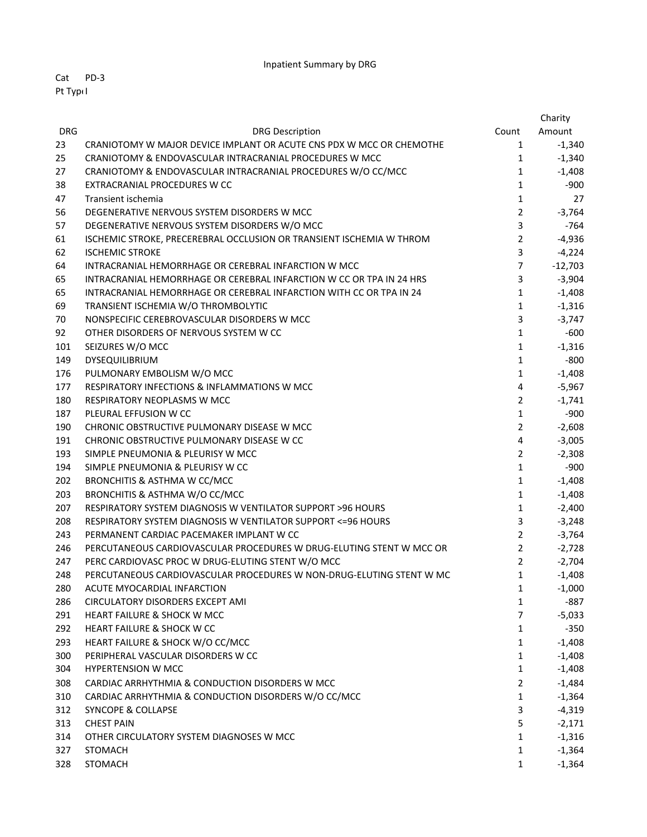Cat PD‐3 Pt TypeI

|            |                                                                      |                | Charity   |
|------------|----------------------------------------------------------------------|----------------|-----------|
| <b>DRG</b> | <b>DRG Description</b>                                               | Count          | Amount    |
| 23         | CRANIOTOMY W MAJOR DEVICE IMPLANT OR ACUTE CNS PDX W MCC OR CHEMOTHE | $\mathbf{1}$   | $-1,340$  |
| 25         | CRANIOTOMY & ENDOVASCULAR INTRACRANIAL PROCEDURES W MCC              | $\mathbf{1}$   | $-1,340$  |
| 27         | CRANIOTOMY & ENDOVASCULAR INTRACRANIAL PROCEDURES W/O CC/MCC         | $\mathbf{1}$   | $-1,408$  |
| 38         | EXTRACRANIAL PROCEDURES W CC                                         | $\mathbf{1}$   | $-900$    |
| 47         | Transient ischemia                                                   | $\mathbf{1}$   | 27        |
| 56         | DEGENERATIVE NERVOUS SYSTEM DISORDERS W MCC                          | $\overline{2}$ | $-3,764$  |
| 57         | DEGENERATIVE NERVOUS SYSTEM DISORDERS W/O MCC                        | 3              | $-764$    |
| 61         | ISCHEMIC STROKE, PRECEREBRAL OCCLUSION OR TRANSIENT ISCHEMIA W THROM | $\overline{2}$ | $-4,936$  |
| 62         | <b>ISCHEMIC STROKE</b>                                               | 3              | $-4,224$  |
| 64         | INTRACRANIAL HEMORRHAGE OR CEREBRAL INFARCTION W MCC                 | $\overline{7}$ | $-12,703$ |
| 65         | INTRACRANIAL HEMORRHAGE OR CEREBRAL INFARCTION W CC OR TPA IN 24 HRS | 3              | $-3,904$  |
| 65         | INTRACRANIAL HEMORRHAGE OR CEREBRAL INFARCTION WITH CC OR TPA IN 24  | $\mathbf{1}$   | $-1,408$  |
| 69         | TRANSIENT ISCHEMIA W/O THROMBOLYTIC                                  | $\mathbf{1}$   | $-1,316$  |
| 70         | NONSPECIFIC CEREBROVASCULAR DISORDERS W MCC                          | 3              | $-3,747$  |
| 92         | OTHER DISORDERS OF NERVOUS SYSTEM W CC                               | $\mathbf{1}$   | $-600$    |
| 101        | SEIZURES W/O MCC                                                     | $\mathbf{1}$   | $-1,316$  |
| 149        | DYSEQUILIBRIUM                                                       | $\mathbf{1}$   | $-800$    |
| 176        | PULMONARY EMBOLISM W/O MCC                                           | $\mathbf{1}$   | $-1,408$  |
| 177        | <b>RESPIRATORY INFECTIONS &amp; INFLAMMATIONS W MCC</b>              | 4              | $-5,967$  |
| 180        | RESPIRATORY NEOPLASMS W MCC                                          | $\overline{2}$ | $-1,741$  |
| 187        | PLEURAL EFFUSION W CC                                                | $\mathbf{1}$   | $-900$    |
| 190        | CHRONIC OBSTRUCTIVE PULMONARY DISEASE W MCC                          | $\overline{2}$ | $-2,608$  |
| 191        | CHRONIC OBSTRUCTIVE PULMONARY DISEASE W CC                           | 4              | $-3,005$  |
| 193        | SIMPLE PNEUMONIA & PLEURISY W MCC                                    | $\overline{2}$ | $-2,308$  |
| 194        | SIMPLE PNEUMONIA & PLEURISY W CC                                     | $\mathbf{1}$   | $-900$    |
| 202        | BRONCHITIS & ASTHMA W CC/MCC                                         | $\mathbf{1}$   | $-1,408$  |
| 203        | BRONCHITIS & ASTHMA W/O CC/MCC                                       | $\mathbf{1}$   | $-1,408$  |
| 207        | RESPIRATORY SYSTEM DIAGNOSIS W VENTILATOR SUPPORT > 96 HOURS         | $\mathbf{1}$   | $-2,400$  |
| 208        | RESPIRATORY SYSTEM DIAGNOSIS W VENTILATOR SUPPORT <= 96 HOURS        | 3              | $-3,248$  |
| 243        | PERMANENT CARDIAC PACEMAKER IMPLANT W CC                             | $\overline{2}$ | $-3,764$  |
| 246        | PERCUTANEOUS CARDIOVASCULAR PROCEDURES W DRUG-ELUTING STENT W MCC OR | $\overline{2}$ | $-2,728$  |
| 247        | PERC CARDIOVASC PROC W DRUG-ELUTING STENT W/O MCC                    | $\overline{2}$ | $-2,704$  |
| 248        | PERCUTANEOUS CARDIOVASCULAR PROCEDURES W NON-DRUG-ELUTING STENT W MC | $\mathbf{1}$   | $-1,408$  |
| 280        | ACUTE MYOCARDIAL INFARCTION                                          | 1              | $-1,000$  |
| 286        | CIRCULATORY DISORDERS EXCEPT AMI                                     | 1              | -887      |
| 291        | HEART FAILURE & SHOCK W MCC                                          | $\overline{7}$ | $-5,033$  |
| 292        | HEART FAILURE & SHOCK W CC                                           | $\mathbf{1}$   | $-350$    |
| 293        | HEART FAILURE & SHOCK W/O CC/MCC                                     | 1              | $-1,408$  |
| 300        | PERIPHERAL VASCULAR DISORDERS W CC                                   | 1              | $-1,408$  |
| 304        | <b>HYPERTENSION W MCC</b>                                            | $\mathbf{1}$   | $-1,408$  |
| 308        | CARDIAC ARRHYTHMIA & CONDUCTION DISORDERS W MCC                      | $\overline{2}$ | $-1,484$  |
| 310        | CARDIAC ARRHYTHMIA & CONDUCTION DISORDERS W/O CC/MCC                 | 1              | $-1,364$  |
| 312        | <b>SYNCOPE &amp; COLLAPSE</b>                                        | 3              | $-4,319$  |
| 313        | <b>CHEST PAIN</b>                                                    | 5              | $-2,171$  |
| 314        | OTHER CIRCULATORY SYSTEM DIAGNOSES W MCC                             | $\mathbf{1}$   | $-1,316$  |
| 327        | <b>STOMACH</b>                                                       | 1              | $-1,364$  |
| 328        | <b>STOMACH</b>                                                       | 1              | $-1,364$  |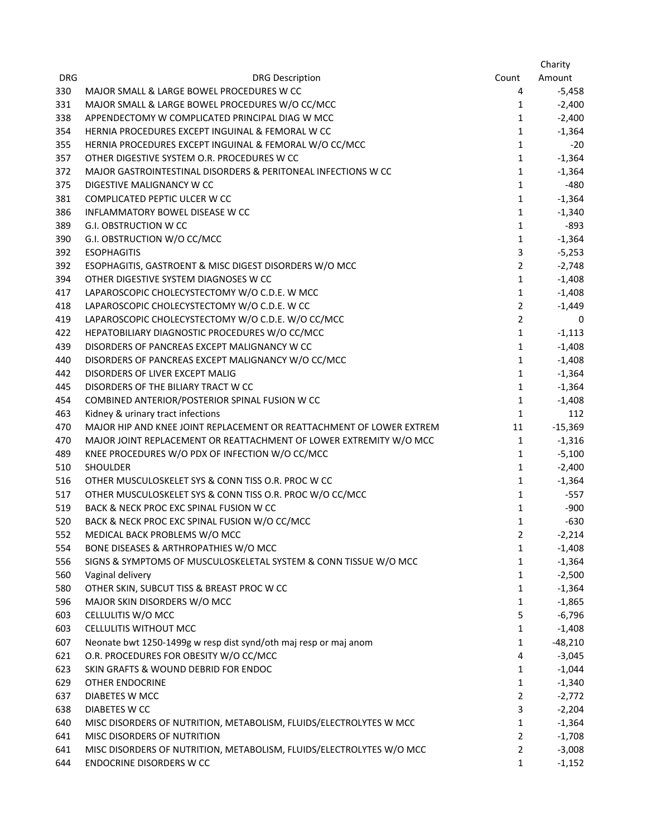|            |                                                                                       |                | Charity   |
|------------|---------------------------------------------------------------------------------------|----------------|-----------|
| <b>DRG</b> | <b>DRG Description</b>                                                                | Count          | Amount    |
| 330        | MAJOR SMALL & LARGE BOWEL PROCEDURES W CC                                             | 4              | -5,458    |
| 331        | MAJOR SMALL & LARGE BOWEL PROCEDURES W/O CC/MCC                                       | 1              | $-2,400$  |
| 338        | APPENDECTOMY W COMPLICATED PRINCIPAL DIAG W MCC                                       | $\mathbf{1}$   | $-2,400$  |
| 354        | HERNIA PROCEDURES EXCEPT INGUINAL & FEMORAL W CC                                      | $\mathbf{1}$   | $-1,364$  |
| 355        | HERNIA PROCEDURES EXCEPT INGUINAL & FEMORAL W/O CC/MCC                                | $\mathbf{1}$   | $-20$     |
| 357        | OTHER DIGESTIVE SYSTEM O.R. PROCEDURES W CC                                           | $\mathbf{1}$   | $-1,364$  |
| 372        | MAJOR GASTROINTESTINAL DISORDERS & PERITONEAL INFECTIONS W CC                         | $\mathbf{1}$   | $-1,364$  |
| 375        | DIGESTIVE MALIGNANCY W CC                                                             | $\mathbf{1}$   | $-480$    |
| 381        | COMPLICATED PEPTIC ULCER W CC                                                         | 1              | $-1,364$  |
| 386        | INFLAMMATORY BOWEL DISEASE W CC                                                       | $\mathbf{1}$   | $-1,340$  |
| 389        | <b>G.I. OBSTRUCTION W CC</b>                                                          | $\mathbf{1}$   | -893      |
| 390        | G.I. OBSTRUCTION W/O CC/MCC                                                           | $\mathbf{1}$   | $-1,364$  |
| 392        | <b>ESOPHAGITIS</b>                                                                    | 3              | $-5,253$  |
| 392        | ESOPHAGITIS, GASTROENT & MISC DIGEST DISORDERS W/O MCC                                | $\overline{2}$ | $-2,748$  |
| 394        | OTHER DIGESTIVE SYSTEM DIAGNOSES W CC                                                 | 1              | $-1,408$  |
| 417        | LAPAROSCOPIC CHOLECYSTECTOMY W/O C.D.E. W MCC                                         | 1              | $-1,408$  |
| 418        | LAPAROSCOPIC CHOLECYSTECTOMY W/O C.D.E. W CC                                          | $\overline{2}$ | $-1,449$  |
| 419        | LAPAROSCOPIC CHOLECYSTECTOMY W/O C.D.E. W/O CC/MCC                                    | $\overline{2}$ | 0         |
| 422        | HEPATOBILIARY DIAGNOSTIC PROCEDURES W/O CC/MCC                                        | $\mathbf{1}$   | $-1,113$  |
|            | DISORDERS OF PANCREAS EXCEPT MALIGNANCY W CC                                          | $\mathbf{1}$   |           |
| 439<br>440 |                                                                                       | $\mathbf{1}$   | $-1,408$  |
| 442        | DISORDERS OF PANCREAS EXCEPT MALIGNANCY W/O CC/MCC<br>DISORDERS OF LIVER EXCEPT MALIG | $\mathbf{1}$   | $-1,408$  |
|            |                                                                                       |                | $-1,364$  |
| 445        | DISORDERS OF THE BILIARY TRACT W CC                                                   | 1              | $-1,364$  |
| 454        | COMBINED ANTERIOR/POSTERIOR SPINAL FUSION W CC                                        | 1              | $-1,408$  |
| 463        | Kidney & urinary tract infections                                                     | $\mathbf{1}$   | 112       |
| 470        | MAJOR HIP AND KNEE JOINT REPLACEMENT OR REATTACHMENT OF LOWER EXTREM                  | 11             | $-15,369$ |
| 470        | MAJOR JOINT REPLACEMENT OR REATTACHMENT OF LOWER EXTREMITY W/O MCC                    | $\mathbf{1}$   | $-1,316$  |
| 489        | KNEE PROCEDURES W/O PDX OF INFECTION W/O CC/MCC                                       | $\mathbf{1}$   | $-5,100$  |
| 510        | <b>SHOULDER</b>                                                                       | $\mathbf{1}$   | $-2,400$  |
| 516        | OTHER MUSCULOSKELET SYS & CONN TISS O.R. PROC W CC                                    | 1              | $-1,364$  |
| 517        | OTHER MUSCULOSKELET SYS & CONN TISS O.R. PROC W/O CC/MCC                              | $\mathbf{1}$   | $-557$    |
| 519        | BACK & NECK PROC EXC SPINAL FUSION W CC                                               | 1              | $-900$    |
| 520        | BACK & NECK PROC EXC SPINAL FUSION W/O CC/MCC                                         | $\mathbf{1}$   | $-630$    |
| 552        | MEDICAL BACK PROBLEMS W/O MCC                                                         | 2              | $-2,214$  |
| 554        | BONE DISEASES & ARTHROPATHIES W/O MCC                                                 | 1              | $-1,408$  |
| 556        | SIGNS & SYMPTOMS OF MUSCULOSKELETAL SYSTEM & CONN TISSUE W/O MCC                      | 1              | $-1,364$  |
| 560        | Vaginal delivery                                                                      | $\mathbf{1}$   | $-2,500$  |
| 580        | OTHER SKIN, SUBCUT TISS & BREAST PROC W CC                                            | $\mathbf{1}$   | -1,364    |
| 596        | MAJOR SKIN DISORDERS W/O MCC                                                          | $\mathbf{1}$   | $-1,865$  |
| 603        | CELLULITIS W/O MCC                                                                    | 5              | $-6,796$  |
| 603        | CELLULITIS WITHOUT MCC                                                                | 1              | $-1,408$  |
| 607        | Neonate bwt 1250-1499g w resp dist synd/oth maj resp or maj anom                      | 1              | $-48,210$ |
| 621        | O.R. PROCEDURES FOR OBESITY W/O CC/MCC                                                | 4              | $-3,045$  |
| 623        | SKIN GRAFTS & WOUND DEBRID FOR ENDOC                                                  | $\mathbf{1}$   | $-1,044$  |
| 629        | <b>OTHER ENDOCRINE</b>                                                                | $\mathbf{1}$   | $-1,340$  |
| 637        | DIABETES W MCC                                                                        | $\overline{2}$ | $-2,772$  |
| 638        | DIABETES W CC                                                                         | 3              | $-2,204$  |
| 640        | MISC DISORDERS OF NUTRITION, METABOLISM, FLUIDS/ELECTROLYTES W MCC                    | 1              | $-1,364$  |
| 641        | MISC DISORDERS OF NUTRITION                                                           | $\overline{2}$ | $-1,708$  |
| 641        | MISC DISORDERS OF NUTRITION, METABOLISM, FLUIDS/ELECTROLYTES W/O MCC                  | $\overline{2}$ | $-3,008$  |
| 644        | <b>ENDOCRINE DISORDERS W CC</b>                                                       | 1              | $-1,152$  |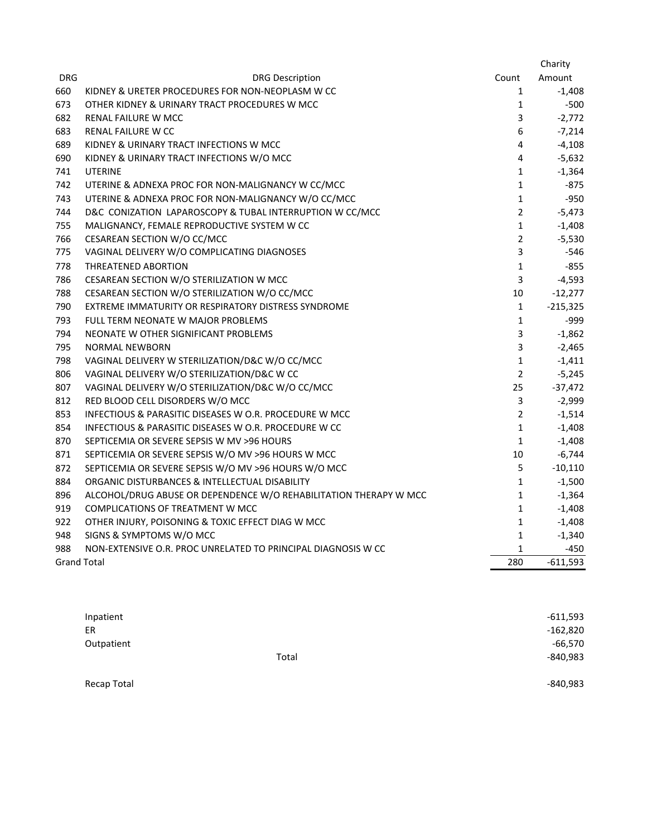|                    |                                                                   |                | Charity    |
|--------------------|-------------------------------------------------------------------|----------------|------------|
| <b>DRG</b>         | <b>DRG Description</b>                                            | Count          | Amount     |
| 660                | KIDNEY & URETER PROCEDURES FOR NON-NEOPLASM W CC                  | $\mathbf{1}$   | $-1,408$   |
| 673                | OTHER KIDNEY & URINARY TRACT PROCEDURES W MCC                     | $\mathbf{1}$   | $-500$     |
| 682                | RENAL FAILURE W MCC                                               | 3              | $-2,772$   |
| 683                | RENAL FAILURE W CC                                                | 6              | $-7,214$   |
| 689                | KIDNEY & URINARY TRACT INFECTIONS W MCC                           | 4              | $-4,108$   |
| 690                | KIDNEY & URINARY TRACT INFECTIONS W/O MCC                         | $\overline{4}$ | $-5,632$   |
| 741                | <b>UTERINE</b>                                                    | $\mathbf{1}$   | $-1,364$   |
| 742                | UTERINE & ADNEXA PROC FOR NON-MALIGNANCY W CC/MCC                 | $\mathbf{1}$   | $-875$     |
| 743                | UTERINE & ADNEXA PROC FOR NON-MALIGNANCY W/O CC/MCC               | $\mathbf{1}$   | -950       |
| 744                | D&C CONIZATION LAPAROSCOPY & TUBAL INTERRUPTION W CC/MCC          | $\overline{2}$ | $-5,473$   |
| 755                | MALIGNANCY, FEMALE REPRODUCTIVE SYSTEM W CC                       | $\mathbf 1$    | $-1,408$   |
| 766                | CESAREAN SECTION W/O CC/MCC                                       | $\overline{2}$ | $-5,530$   |
| 775                | VAGINAL DELIVERY W/O COMPLICATING DIAGNOSES                       | 3              | -546       |
| 778                | <b>THREATENED ABORTION</b>                                        | $\mathbf{1}$   | $-855$     |
| 786                | CESAREAN SECTION W/O STERILIZATION W MCC                          | 3              | $-4,593$   |
| 788                | CESAREAN SECTION W/O STERILIZATION W/O CC/MCC                     | 10             | $-12,277$  |
| 790                | EXTREME IMMATURITY OR RESPIRATORY DISTRESS SYNDROME               | $\mathbf{1}$   | $-215,325$ |
| 793                | <b>FULL TERM NEONATE W MAJOR PROBLEMS</b>                         | $\mathbf{1}$   | $-999$     |
| 794                | NEONATE W OTHER SIGNIFICANT PROBLEMS                              | 3              | $-1,862$   |
| 795                | <b>NORMAL NEWBORN</b>                                             | 3              | $-2,465$   |
| 798                | VAGINAL DELIVERY W STERILIZATION/D&C W/O CC/MCC                   | $\mathbf{1}$   | $-1,411$   |
| 806                | VAGINAL DELIVERY W/O STERILIZATION/D&C W CC                       | $\overline{2}$ | $-5,245$   |
| 807                | VAGINAL DELIVERY W/O STERILIZATION/D&C W/O CC/MCC                 | 25             | $-37,472$  |
| 812                | RED BLOOD CELL DISORDERS W/O MCC                                  | 3              | $-2,999$   |
| 853                | INFECTIOUS & PARASITIC DISEASES W O.R. PROCEDURE W MCC            | $\overline{2}$ | $-1,514$   |
| 854                | INFECTIOUS & PARASITIC DISEASES W O.R. PROCEDURE W CC             | $\mathbf{1}$   | $-1,408$   |
| 870                | SEPTICEMIA OR SEVERE SEPSIS W MV >96 HOURS                        | $\mathbf{1}$   | $-1,408$   |
| 871                | SEPTICEMIA OR SEVERE SEPSIS W/O MV >96 HOURS W MCC                | $10\,$         | $-6,744$   |
| 872                | SEPTICEMIA OR SEVERE SEPSIS W/O MV >96 HOURS W/O MCC              | 5              | $-10,110$  |
| 884                | ORGANIC DISTURBANCES & INTELLECTUAL DISABILITY                    | $\mathbf{1}$   | $-1,500$   |
| 896                | ALCOHOL/DRUG ABUSE OR DEPENDENCE W/O REHABILITATION THERAPY W MCC | $\mathbf 1$    | $-1,364$   |
| 919                | <b>COMPLICATIONS OF TREATMENT W MCC</b>                           | $\mathbf 1$    | $-1,408$   |
| 922                | OTHER INJURY, POISONING & TOXIC EFFECT DIAG W MCC                 | $\mathbf{1}$   | $-1,408$   |
| 948                | SIGNS & SYMPTOMS W/O MCC                                          | $\mathbf{1}$   | $-1,340$   |
| 988                | NON-EXTENSIVE O.R. PROC UNRELATED TO PRINCIPAL DIAGNOSIS W CC     | $\mathbf{1}$   | -450       |
| <b>Grand Total</b> |                                                                   | 280            | $-611,593$ |

| Inpatient   |       | $-611,593$ |
|-------------|-------|------------|
| ER          |       | $-162,820$ |
| Outpatient  |       | $-66,570$  |
|             | Total | $-840,983$ |
|             |       |            |
| Recap Total |       | -840,983   |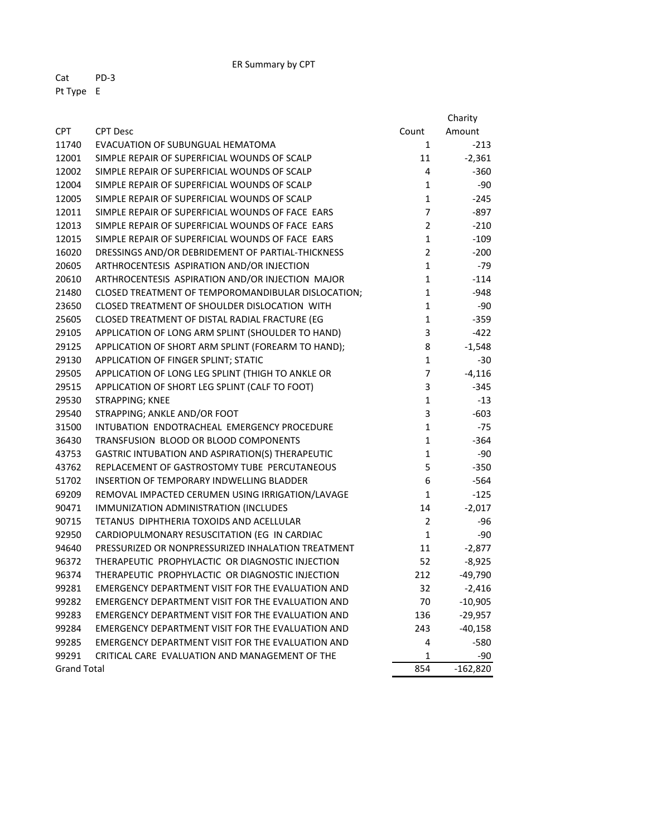ER Summary by CPT

Cat PD‐3 Pt Type E

|                    |                                                    |                | Charity    |
|--------------------|----------------------------------------------------|----------------|------------|
| <b>CPT</b>         | <b>CPT Desc</b>                                    | Count          | Amount     |
| 11740              | EVACUATION OF SUBUNGUAL HEMATOMA                   | $\mathbf{1}$   | $-213$     |
| 12001              | SIMPLE REPAIR OF SUPERFICIAL WOUNDS OF SCALP       | 11             | $-2,361$   |
| 12002              | SIMPLE REPAIR OF SUPERFICIAL WOUNDS OF SCALP       | 4              | $-360$     |
| 12004              | SIMPLE REPAIR OF SUPERFICIAL WOUNDS OF SCALP       | $\mathbf{1}$   | -90        |
| 12005              | SIMPLE REPAIR OF SUPERFICIAL WOUNDS OF SCALP       | $\mathbf{1}$   | $-245$     |
| 12011              | SIMPLE REPAIR OF SUPERFICIAL WOUNDS OF FACE EARS   | $\overline{7}$ | $-897$     |
| 12013              | SIMPLE REPAIR OF SUPERFICIAL WOUNDS OF FACE EARS   | $\overline{2}$ | $-210$     |
| 12015              | SIMPLE REPAIR OF SUPERFICIAL WOUNDS OF FACE EARS   | $\mathbf{1}$   | $-109$     |
| 16020              | DRESSINGS AND/OR DEBRIDEMENT OF PARTIAL-THICKNESS  | $\overline{2}$ | $-200$     |
| 20605              | ARTHROCENTESIS ASPIRATION AND/OR INJECTION         | $\mathbf 1$    | -79        |
| 20610              | ARTHROCENTESIS ASPIRATION AND/OR INJECTION MAJOR   | $\mathbf 1$    | $-114$     |
| 21480              | CLOSED TREATMENT OF TEMPOROMANDIBULAR DISLOCATION; | $\mathbf 1$    | $-948$     |
| 23650              | CLOSED TREATMENT OF SHOULDER DISLOCATION WITH      | $\mathbf{1}$   | -90        |
| 25605              | CLOSED TREATMENT OF DISTAL RADIAL FRACTURE (EG     | $\mathbf{1}$   | $-359$     |
| 29105              | APPLICATION OF LONG ARM SPLINT (SHOULDER TO HAND)  | 3              | $-422$     |
| 29125              | APPLICATION OF SHORT ARM SPLINT (FOREARM TO HAND); | 8              | $-1,548$   |
| 29130              | APPLICATION OF FINGER SPLINT; STATIC               | $\mathbf 1$    | $-30$      |
| 29505              | APPLICATION OF LONG LEG SPLINT (THIGH TO ANKLE OR  | $\overline{7}$ | $-4,116$   |
| 29515              | APPLICATION OF SHORT LEG SPLINT (CALF TO FOOT)     | 3              | $-345$     |
| 29530              | STRAPPING; KNEE                                    | $\mathbf{1}$   | $-13$      |
| 29540              | STRAPPING; ANKLE AND/OR FOOT                       | 3              | $-603$     |
| 31500              | INTUBATION ENDOTRACHEAL EMERGENCY PROCEDURE        | $\mathbf{1}$   | $-75$      |
| 36430              | TRANSFUSION BLOOD OR BLOOD COMPONENTS              | $\mathbf{1}$   | $-364$     |
| 43753              | GASTRIC INTUBATION AND ASPIRATION(S) THERAPEUTIC   | $\mathbf{1}$   | $-90$      |
| 43762              | REPLACEMENT OF GASTROSTOMY TUBE PERCUTANEOUS       | 5              | $-350$     |
| 51702              | INSERTION OF TEMPORARY INDWELLING BLADDER          | 6              | $-564$     |
| 69209              | REMOVAL IMPACTED CERUMEN USING IRRIGATION/LAVAGE   | $\mathbf{1}$   | $-125$     |
| 90471              | IMMUNIZATION ADMINISTRATION (INCLUDES              | 14             | $-2,017$   |
| 90715              | TETANUS DIPHTHERIA TOXOIDS AND ACELLULAR           | $\overline{2}$ | -96        |
| 92950              | CARDIOPULMONARY RESUSCITATION (EG IN CARDIAC       | $\mathbf{1}$   | -90        |
| 94640              | PRESSURIZED OR NONPRESSURIZED INHALATION TREATMENT | 11             | $-2,877$   |
| 96372              | THERAPEUTIC PROPHYLACTIC OR DIAGNOSTIC INJECTION   | 52             | $-8,925$   |
| 96374              | THERAPEUTIC PROPHYLACTIC OR DIAGNOSTIC INJECTION   | 212            | $-49,790$  |
| 99281              | EMERGENCY DEPARTMENT VISIT FOR THE EVALUATION AND  | 32             | $-2,416$   |
| 99282              | EMERGENCY DEPARTMENT VISIT FOR THE EVALUATION AND  | 70             | $-10,905$  |
| 99283              | EMERGENCY DEPARTMENT VISIT FOR THE EVALUATION AND  | 136            | $-29,957$  |
| 99284              | EMERGENCY DEPARTMENT VISIT FOR THE EVALUATION AND  | 243            | $-40,158$  |
| 99285              | EMERGENCY DEPARTMENT VISIT FOR THE EVALUATION AND  | 4              | -580       |
| 99291              | CRITICAL CARE EVALUATION AND MANAGEMENT OF THE     | 1              | -90        |
| <b>Grand Total</b> |                                                    | 854            | $-162,820$ |
|                    |                                                    |                |            |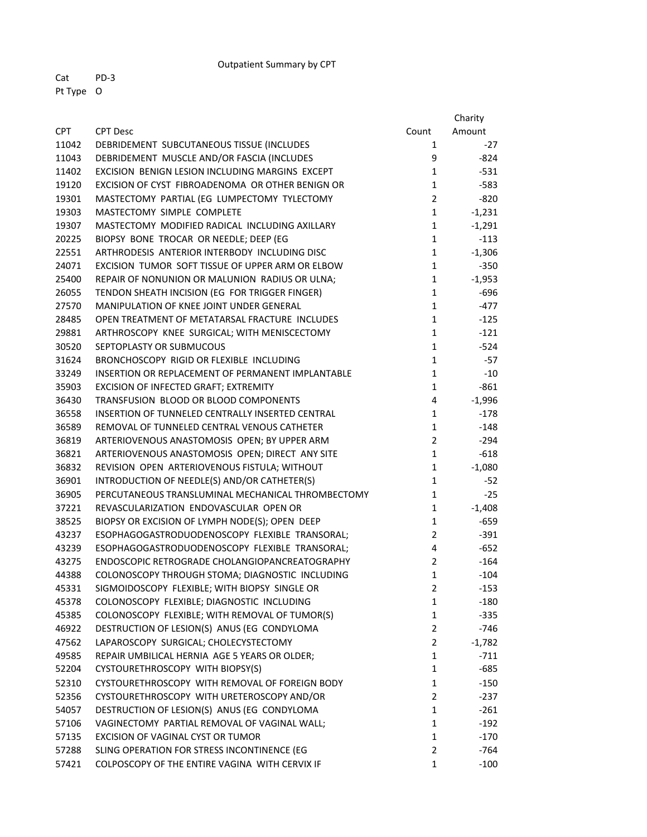Outpatient Summary by CPT

Cat PD‐3 Pt Type O

|            |                                                   |                | Charity  |
|------------|---------------------------------------------------|----------------|----------|
| <b>CPT</b> | <b>CPT Desc</b>                                   | Count          | Amount   |
| 11042      | DEBRIDEMENT SUBCUTANEOUS TISSUE (INCLUDES         | 1              | $-27$    |
| 11043      | DEBRIDEMENT MUSCLE AND/OR FASCIA (INCLUDES        | 9              | -824     |
| 11402      | EXCISION BENIGN LESION INCLUDING MARGINS EXCEPT   | $\mathbf{1}$   | $-531$   |
| 19120      | EXCISION OF CYST FIBROADENOMA OR OTHER BENIGN OR  | $\mathbf{1}$   | $-583$   |
| 19301      | MASTECTOMY PARTIAL (EG LUMPECTOMY TYLECTOMY       | $\overline{2}$ | $-820$   |
| 19303      | MASTECTOMY SIMPLE COMPLETE                        | $\mathbf{1}$   | $-1,231$ |
| 19307      | MASTECTOMY MODIFIED RADICAL INCLUDING AXILLARY    | $\mathbf{1}$   | $-1,291$ |
| 20225      | BIOPSY BONE TROCAR OR NEEDLE; DEEP (EG            | 1              | $-113$   |
| 22551      | ARTHRODESIS ANTERIOR INTERBODY INCLUDING DISC     | $\mathbf{1}$   | $-1,306$ |
| 24071      | EXCISION TUMOR SOFT TISSUE OF UPPER ARM OR ELBOW  | $\mathbf{1}$   | $-350$   |
| 25400      | REPAIR OF NONUNION OR MALUNION RADIUS OR ULNA;    | $\mathbf{1}$   | $-1,953$ |
| 26055      | TENDON SHEATH INCISION (EG FOR TRIGGER FINGER)    | $\mathbf{1}$   | $-696$   |
| 27570      | MANIPULATION OF KNEE JOINT UNDER GENERAL          | $\mathbf{1}$   | $-477$   |
| 28485      | OPEN TREATMENT OF METATARSAL FRACTURE INCLUDES    | $\mathbf{1}$   | $-125$   |
| 29881      | ARTHROSCOPY KNEE SURGICAL; WITH MENISCECTOMY      | $\mathbf{1}$   | $-121$   |
| 30520      | SEPTOPLASTY OR SUBMUCOUS                          | $\mathbf{1}$   | $-524$   |
| 31624      | BRONCHOSCOPY RIGID OR FLEXIBLE INCLUDING          | $\mathbf{1}$   | $-57$    |
| 33249      | INSERTION OR REPLACEMENT OF PERMANENT IMPLANTABLE | $\mathbf 1$    | $-10$    |
| 35903      | EXCISION OF INFECTED GRAFT; EXTREMITY             | $\mathbf{1}$   | $-861$   |
| 36430      | TRANSFUSION BLOOD OR BLOOD COMPONENTS             | 4              | $-1,996$ |
| 36558      | INSERTION OF TUNNELED CENTRALLY INSERTED CENTRAL  | 1              | $-178$   |
| 36589      | REMOVAL OF TUNNELED CENTRAL VENOUS CATHETER       | 1              | $-148$   |
| 36819      | ARTERIOVENOUS ANASTOMOSIS OPEN; BY UPPER ARM      | $\overline{2}$ | $-294$   |
| 36821      | ARTERIOVENOUS ANASTOMOSIS OPEN; DIRECT ANY SITE   | $\mathbf{1}$   | $-618$   |
| 36832      | REVISION OPEN ARTERIOVENOUS FISTULA; WITHOUT      | $\mathbf{1}$   | $-1,080$ |
| 36901      | INTRODUCTION OF NEEDLE(S) AND/OR CATHETER(S)      | $\mathbf{1}$   | $-52$    |
| 36905      | PERCUTANEOUS TRANSLUMINAL MECHANICAL THROMBECTOMY | $\mathbf{1}$   | $-25$    |
| 37221      | REVASCULARIZATION ENDOVASCULAR OPEN OR            | $\mathbf{1}$   | $-1,408$ |
| 38525      | BIOPSY OR EXCISION OF LYMPH NODE(S); OPEN DEEP    | 1              | $-659$   |
| 43237      | ESOPHAGOGASTRODUODENOSCOPY FLEXIBLE TRANSORAL;    | $\overline{2}$ | $-391$   |
| 43239      | ESOPHAGOGASTRODUODENOSCOPY FLEXIBLE TRANSORAL;    | 4              | $-652$   |
| 43275      | ENDOSCOPIC RETROGRADE CHOLANGIOPANCREATOGRAPHY    | $\overline{2}$ | $-164$   |
| 44388      | COLONOSCOPY THROUGH STOMA; DIAGNOSTIC INCLUDING   | 1              | $-104$   |
| 45331      | SIGMOIDOSCOPY FLEXIBLE; WITH BIOPSY SINGLE OR     | $\overline{2}$ | $-153$   |
| 45378      | COLONOSCOPY FLEXIBLE; DIAGNOSTIC INCLUDING        | 1              | -180     |
| 45385      | COLONOSCOPY FLEXIBLE; WITH REMOVAL OF TUMOR(S)    | $\mathbf{1}$   | $-335$   |
| 46922      | DESTRUCTION OF LESION(S) ANUS (EG CONDYLOMA       | $\overline{2}$ | $-746$   |
| 47562      | LAPAROSCOPY SURGICAL; CHOLECYSTECTOMY             | $\overline{2}$ | $-1,782$ |
| 49585      | REPAIR UMBILICAL HERNIA AGE 5 YEARS OR OLDER;     | $\mathbf{1}$   | $-711$   |
| 52204      | CYSTOURETHROSCOPY WITH BIOPSY(S)                  | $\mathbf{1}$   | -685     |
| 52310      | CYSTOURETHROSCOPY WITH REMOVAL OF FOREIGN BODY    | $\mathbf{1}$   | $-150$   |
| 52356      | CYSTOURETHROSCOPY WITH URETEROSCOPY AND/OR        | $\overline{2}$ | -237     |
| 54057      | DESTRUCTION OF LESION(S) ANUS (EG CONDYLOMA       | $\mathbf{1}$   | $-261$   |
| 57106      | VAGINECTOMY PARTIAL REMOVAL OF VAGINAL WALL;      | $\mathbf{1}$   | $-192$   |
| 57135      | EXCISION OF VAGINAL CYST OR TUMOR                 | 1              | $-170$   |
| 57288      | SLING OPERATION FOR STRESS INCONTINENCE (EG       | $\overline{2}$ | $-764$   |
| 57421      | COLPOSCOPY OF THE ENTIRE VAGINA WITH CERVIX IF    | 1              | $-100$   |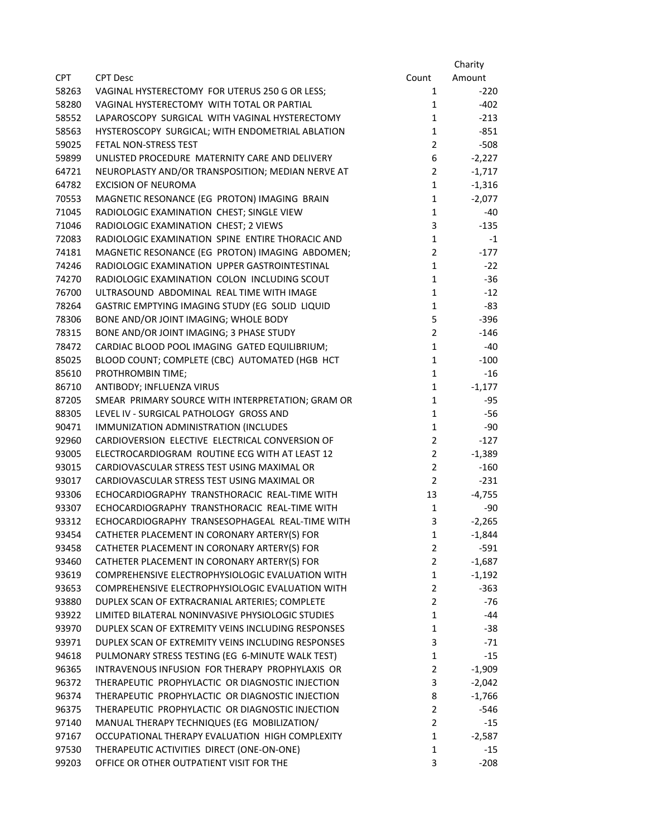|            |                                                    |                | Charity  |
|------------|----------------------------------------------------|----------------|----------|
| <b>CPT</b> | <b>CPT Desc</b>                                    | Count          | Amount   |
| 58263      | VAGINAL HYSTERECTOMY FOR UTERUS 250 G OR LESS;     | $\mathbf{1}$   | $-220$   |
| 58280      | VAGINAL HYSTERECTOMY WITH TOTAL OR PARTIAL         | $\mathbf{1}$   | $-402$   |
| 58552      | LAPAROSCOPY SURGICAL WITH VAGINAL HYSTERECTOMY     | $\mathbf{1}$   | $-213$   |
| 58563      | HYSTEROSCOPY SURGICAL; WITH ENDOMETRIAL ABLATION   | $\mathbf{1}$   | $-851$   |
| 59025      | FETAL NON-STRESS TEST                              | $\overline{2}$ | $-508$   |
| 59899      | UNLISTED PROCEDURE MATERNITY CARE AND DELIVERY     | 6              | $-2,227$ |
| 64721      | NEUROPLASTY AND/OR TRANSPOSITION; MEDIAN NERVE AT  | $\overline{2}$ | $-1,717$ |
| 64782      | <b>EXCISION OF NEUROMA</b>                         | $\mathbf{1}$   | $-1,316$ |
| 70553      | MAGNETIC RESONANCE (EG PROTON) IMAGING BRAIN       | $\mathbf{1}$   | $-2,077$ |
| 71045      | RADIOLOGIC EXAMINATION CHEST; SINGLE VIEW          | $\mathbf 1$    | $-40$    |
| 71046      | RADIOLOGIC EXAMINATION CHEST; 2 VIEWS              | 3              | $-135$   |
| 72083      | RADIOLOGIC EXAMINATION SPINE ENTIRE THORACIC AND   | $\mathbf 1$    | $-1$     |
| 74181      | MAGNETIC RESONANCE (EG PROTON) IMAGING ABDOMEN;    | $\overline{2}$ | $-177$   |
| 74246      | RADIOLOGIC EXAMINATION UPPER GASTROINTESTINAL      | $\mathbf{1}$   | $-22$    |
| 74270      | RADIOLOGIC EXAMINATION COLON INCLUDING SCOUT       | $\mathbf 1$    | $-36$    |
| 76700      | ULTRASOUND ABDOMINAL REAL TIME WITH IMAGE          | $\mathbf{1}$   | $-12$    |
| 78264      | GASTRIC EMPTYING IMAGING STUDY (EG SOLID LIQUID    | $\mathbf{1}$   | $-83$    |
| 78306      | BONE AND/OR JOINT IMAGING; WHOLE BODY              | 5              | $-396$   |
| 78315      | BONE AND/OR JOINT IMAGING; 3 PHASE STUDY           | $\overline{2}$ | $-146$   |
| 78472      | CARDIAC BLOOD POOL IMAGING GATED EQUILIBRIUM;      | $\mathbf{1}$   | $-40$    |
| 85025      | BLOOD COUNT; COMPLETE (CBC) AUTOMATED (HGB HCT     | $\mathbf 1$    | $-100$   |
| 85610      | PROTHROMBIN TIME;                                  | $\mathbf{1}$   | $-16$    |
| 86710      | ANTIBODY; INFLUENZA VIRUS                          | $\mathbf{1}$   | $-1,177$ |
| 87205      | SMEAR PRIMARY SOURCE WITH INTERPRETATION; GRAM OR  | $\mathbf{1}$   | $-95$    |
| 88305      | LEVEL IV - SURGICAL PATHOLOGY GROSS AND            | $\mathbf{1}$   | $-56$    |
| 90471      | IMMUNIZATION ADMINISTRATION (INCLUDES              | $\mathbf 1$    | $-90$    |
| 92960      | CARDIOVERSION ELECTIVE ELECTRICAL CONVERSION OF    | $\overline{2}$ | $-127$   |
| 93005      | ELECTROCARDIOGRAM ROUTINE ECG WITH AT LEAST 12     | $\overline{2}$ | $-1,389$ |
| 93015      | CARDIOVASCULAR STRESS TEST USING MAXIMAL OR        | $\overline{2}$ | $-160$   |
| 93017      | CARDIOVASCULAR STRESS TEST USING MAXIMAL OR        | $\overline{2}$ | $-231$   |
| 93306      | ECHOCARDIOGRAPHY TRANSTHORACIC REAL-TIME WITH      | 13             | $-4,755$ |
| 93307      | ECHOCARDIOGRAPHY TRANSTHORACIC REAL-TIME WITH      | 1              | $-90$    |
| 93312      | ECHOCARDIOGRAPHY TRANSESOPHAGEAL REAL-TIME WITH    | 3              | $-2,265$ |
| 93454      | CATHETER PLACEMENT IN CORONARY ARTERY(S) FOR       | 1              | $-1,844$ |
| 93458      | CATHETER PLACEMENT IN CORONARY ARTERY(S) FOR       | $\overline{2}$ | $-591$   |
| 93460      | CATHETER PLACEMENT IN CORONARY ARTERY(S) FOR       | $\overline{2}$ | $-1,687$ |
| 93619      | COMPREHENSIVE ELECTROPHYSIOLOGIC EVALUATION WITH   | $\mathbf 1$    | $-1,192$ |
| 93653      | COMPREHENSIVE ELECTROPHYSIOLOGIC EVALUATION WITH   | $\overline{2}$ | $-363$   |
| 93880      | DUPLEX SCAN OF EXTRACRANIAL ARTERIES; COMPLETE     | $\overline{2}$ | $-76$    |
| 93922      | LIMITED BILATERAL NONINVASIVE PHYSIOLOGIC STUDIES  | 1              | $-44$    |
| 93970      | DUPLEX SCAN OF EXTREMITY VEINS INCLUDING RESPONSES | 1              | $-38$    |
| 93971      | DUPLEX SCAN OF EXTREMITY VEINS INCLUDING RESPONSES | 3              | $-71$    |
| 94618      | PULMONARY STRESS TESTING (EG 6-MINUTE WALK TEST)   | $\mathbf{1}$   | $-15$    |
| 96365      | INTRAVENOUS INFUSION FOR THERAPY PROPHYLAXIS OR    | $\overline{2}$ | $-1,909$ |
| 96372      | THERAPEUTIC PROPHYLACTIC OR DIAGNOSTIC INJECTION   | 3              | $-2,042$ |
| 96374      | THERAPEUTIC PROPHYLACTIC OR DIAGNOSTIC INJECTION   | 8              | $-1,766$ |
| 96375      | THERAPEUTIC PROPHYLACTIC OR DIAGNOSTIC INJECTION   | 2              | $-546$   |
| 97140      | MANUAL THERAPY TECHNIQUES (EG MOBILIZATION/        | 2              | $-15$    |
| 97167      | OCCUPATIONAL THERAPY EVALUATION HIGH COMPLEXITY    | 1              | $-2,587$ |
| 97530      | THERAPEUTIC ACTIVITIES DIRECT (ONE-ON-ONE)         | 1              | $-15$    |
| 99203      | OFFICE OR OTHER OUTPATIENT VISIT FOR THE           | 3              | $-208$   |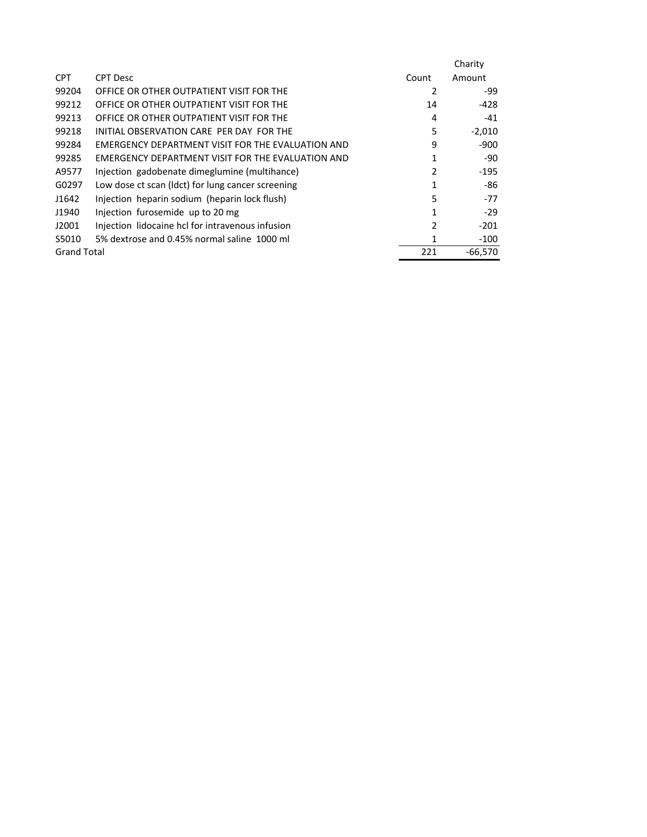|                    |                                                          |               | Charity   |
|--------------------|----------------------------------------------------------|---------------|-----------|
| <b>CPT</b>         | <b>CPT Desc</b>                                          | Count         | Amount    |
| 99204              | OFFICE OR OTHER OUTPATIENT VISIT FOR THE                 | 2             | -99       |
| 99212              | OFFICE OR OTHER OUTPATIENT VISIT FOR THE                 | 14            | -428      |
| 99213              | OFFICE OR OTHER OUTPATIENT VISIT FOR THE                 | 4             | $-41$     |
| 99218              | INITIAL OBSERVATION CARE PER DAY FOR THE                 | 5             | $-2,010$  |
| 99284              | EMERGENCY DEPARTMENT VISIT FOR THE EVALUATION AND        | 9             | $-900$    |
| 99285              | <b>FMERGENCY DEPARTMENT VISIT FOR THE EVALUATION AND</b> | 1             | -90       |
| A9577              | Injection gadobenate dimeglumine (multihance)            | $\mathfrak z$ | $-195$    |
| G0297              | Low dose ct scan (ldct) for lung cancer screening        | 1             | -86       |
| J1642              | Injection heparin sodium (heparin lock flush)            | 5             | $-77$     |
| J1940              | Injection furosemide up to 20 mg                         | 1             | $-29$     |
| J2001              | Injection lidocaine hcl for intravenous infusion         | $\mathfrak z$ | $-201$    |
| S5010              | 5% dextrose and 0.45% normal saline 1000 ml              | 1             | $-100$    |
| <b>Grand Total</b> |                                                          | 221           | $-66.570$ |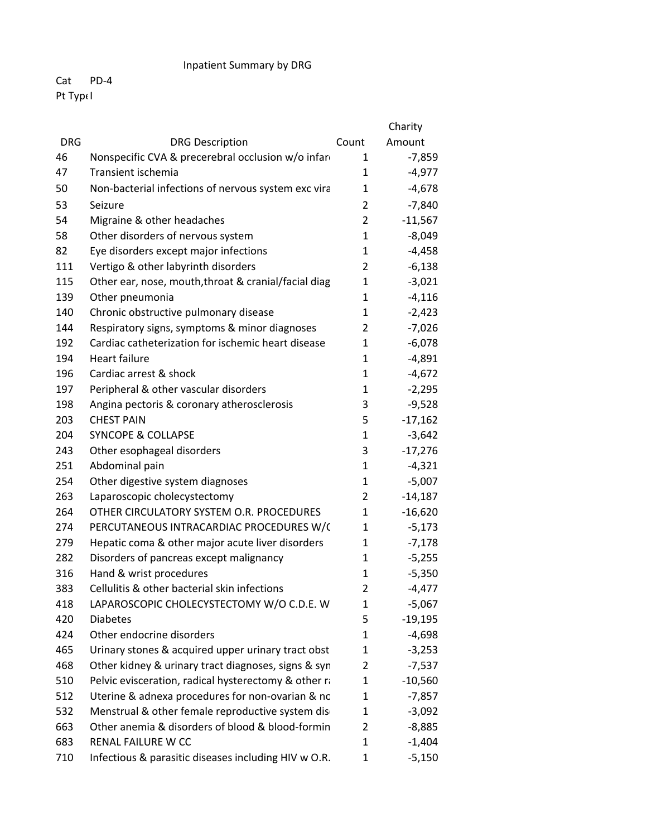## Inpatient Summary by DRG

## Cat PD‐4 Pt TypeI

|            |                                                      |                | Charity   |
|------------|------------------------------------------------------|----------------|-----------|
| <b>DRG</b> | <b>DRG Description</b>                               | Count          | Amount    |
| 46         | Nonspecific CVA & precerebral occlusion w/o infare   | 1              | $-7,859$  |
| 47         | Transient ischemia                                   | 1              | $-4,977$  |
| 50         | Non-bacterial infections of nervous system exc vira  | $\mathbf{1}$   | $-4,678$  |
| 53         | Seizure                                              | 2              | $-7,840$  |
| 54         | Migraine & other headaches                           | $\overline{2}$ | $-11,567$ |
| 58         | Other disorders of nervous system                    | $\mathbf{1}$   | $-8,049$  |
| 82         | Eye disorders except major infections                | $\mathbf{1}$   | $-4,458$  |
| 111        | Vertigo & other labyrinth disorders                  | $\overline{2}$ | $-6,138$  |
| 115        | Other ear, nose, mouth, throat & cranial/facial diag | 1              | $-3,021$  |
| 139        | Other pneumonia                                      | 1              | $-4,116$  |
| 140        | Chronic obstructive pulmonary disease                | $\mathbf{1}$   | $-2,423$  |
| 144        | Respiratory signs, symptoms & minor diagnoses        | $\overline{2}$ | $-7,026$  |
| 192        | Cardiac catheterization for ischemic heart disease   | $\mathbf{1}$   | $-6,078$  |
| 194        | <b>Heart failure</b>                                 | $\mathbf{1}$   | $-4,891$  |
| 196        | Cardiac arrest & shock                               | 1              | $-4,672$  |
| 197        | Peripheral & other vascular disorders                | $\mathbf{1}$   | $-2,295$  |
| 198        | Angina pectoris & coronary atherosclerosis           | 3              | $-9,528$  |
| 203        | <b>CHEST PAIN</b>                                    | 5              | $-17,162$ |
| 204        | <b>SYNCOPE &amp; COLLAPSE</b>                        | 1              | $-3,642$  |
| 243        | Other esophageal disorders                           | 3              | $-17,276$ |
| 251        | Abdominal pain                                       | 1              | $-4,321$  |
| 254        | Other digestive system diagnoses                     | 1              | $-5,007$  |
| 263        | Laparoscopic cholecystectomy                         | $\overline{2}$ | $-14,187$ |
| 264        | OTHER CIRCULATORY SYSTEM O.R. PROCEDURES             | $\mathbf{1}$   | $-16,620$ |
| 274        | PERCUTANEOUS INTRACARDIAC PROCEDURES W/C             | $\mathbf{1}$   | $-5,173$  |
| 279        | Hepatic coma & other major acute liver disorders     | $\mathbf{1}$   | $-7,178$  |
| 282        | Disorders of pancreas except malignancy              | 1              | $-5,255$  |
| 316        | Hand & wrist procedures                              | 1              | $-5,350$  |
| 383        | Cellulitis & other bacterial skin infections         | $\overline{2}$ | $-4,477$  |
| 418        | LAPAROSCOPIC CHOLECYSTECTOMY W/O C.D.E. W            | 1              | $-5,067$  |
| 420        | <b>Diabetes</b>                                      | 5              | $-19,195$ |
| 424        | Other endocrine disorders                            | $\mathbf{1}$   | $-4,698$  |
| 465        | Urinary stones & acquired upper urinary tract obst   | 1              | $-3,253$  |
| 468        | Other kidney & urinary tract diagnoses, signs & syn  | 2              | $-7,537$  |
| 510        | Pelvic evisceration, radical hysterectomy & other ra | 1              | $-10,560$ |
| 512        | Uterine & adnexa procedures for non-ovarian & no     | $\mathbf{1}$   | $-7,857$  |
| 532        | Menstrual & other female reproductive system dis-    | $\mathbf{1}$   | $-3,092$  |
| 663        | Other anemia & disorders of blood & blood-formin     | 2              | $-8,885$  |
| 683        | RENAL FAILURE W CC                                   | $\mathbf{1}$   | $-1,404$  |
| 710        | Infectious & parasitic diseases including HIV w O.R. | 1              | $-5,150$  |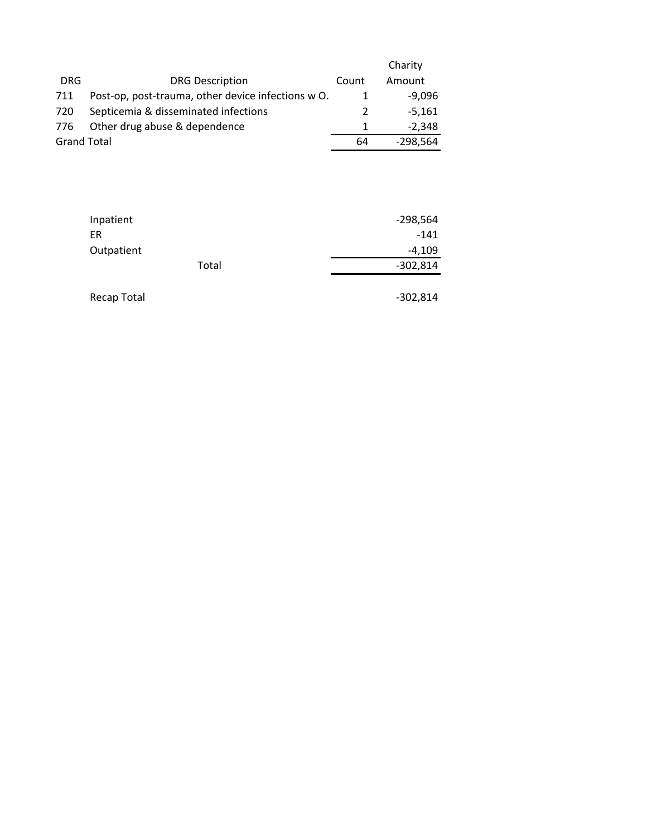|                    |                                                    |       | Charity    |
|--------------------|----------------------------------------------------|-------|------------|
| <b>DRG</b>         | <b>DRG Description</b>                             | Count | Amount     |
| 711                | Post-op, post-trauma, other device infections w O. |       | $-9,096$   |
| 720                | Septicemia & disseminated infections               | 2     | $-5.161$   |
| 776                | Other drug abuse & dependence                      |       | $-2.348$   |
| <b>Grand Total</b> |                                                    | 64    | $-298,564$ |

| Inpatient  |       | $-298,564$ |
|------------|-------|------------|
| ER         |       | $-141$     |
| Outpatient |       | $-4,109$   |
|            | Total | -302,814   |
|            |       |            |

Recap Total **Figure 2012**, Recap Total **Figure 2012**, 814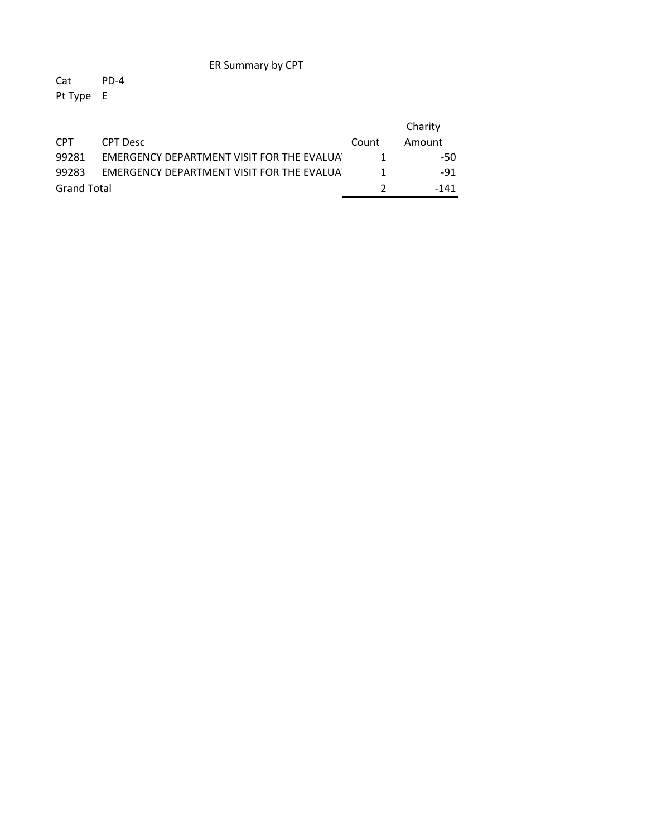ER Summary by CPT

Cat PD‐4 Pt Type E

|                    |                                            |       | Charity |
|--------------------|--------------------------------------------|-------|---------|
| <b>CPT</b>         | CPT Desc                                   | Count | Amount  |
| 99281              | EMERGENCY DEPARTMENT VISIT FOR THE EVALUAT | 1     | -50     |
| 99283              | EMERGENCY DEPARTMENT VISIT FOR THE EVALUAT |       | -91     |
| <b>Grand Total</b> |                                            |       | -141    |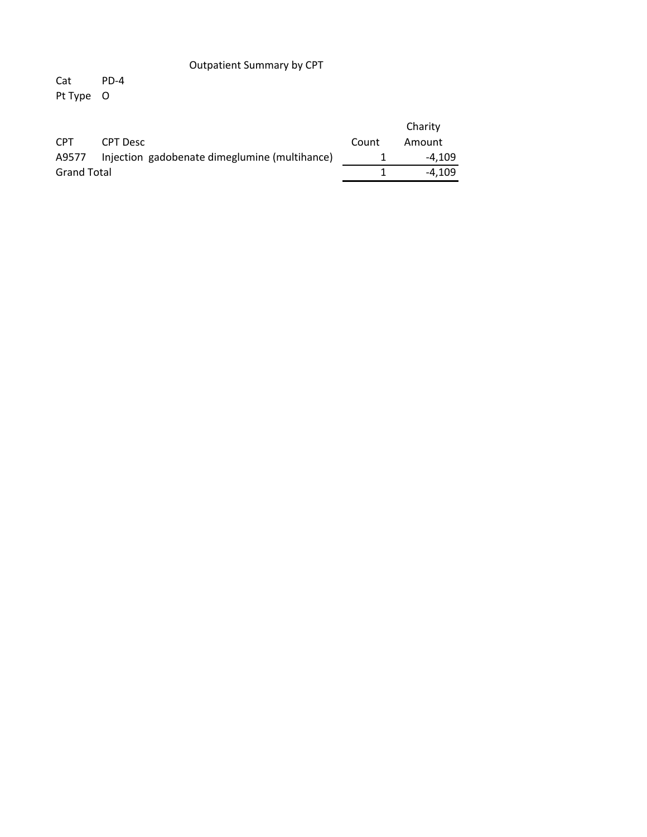## **Outpatient Summary by CPT**

 $Cat$  $PD-4$ Pt Type O

|                    |                                                     |       | Charity |
|--------------------|-----------------------------------------------------|-------|---------|
| <b>CPT</b>         | CPT Desc                                            | Count | Amount  |
|                    | A9577 Injection gadobenate dimeglumine (multihance) |       | -4.109  |
| <b>Grand Total</b> |                                                     |       | -4.109  |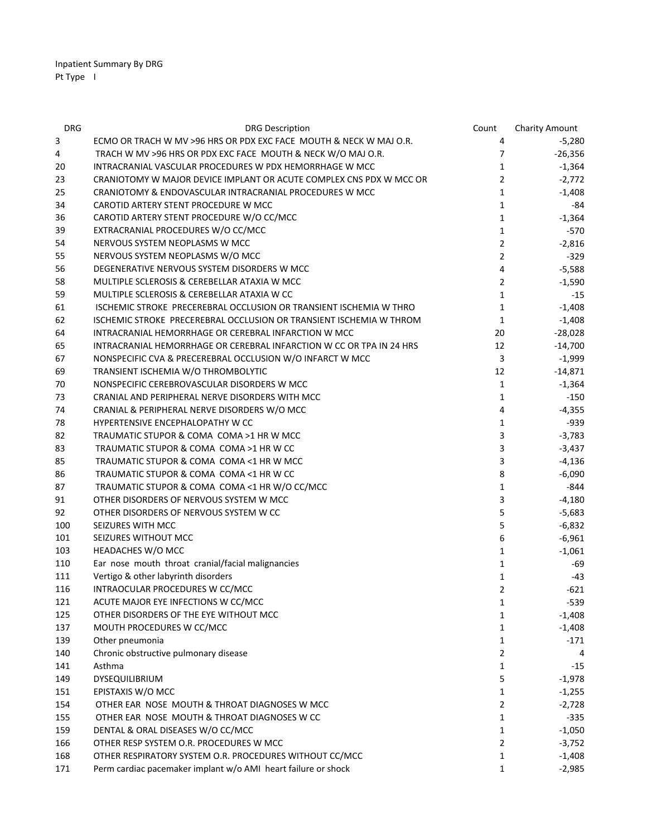| <b>DRG</b> | <b>DRG Description</b>                                               | Count          | <b>Charity Amount</b> |
|------------|----------------------------------------------------------------------|----------------|-----------------------|
| 3          | ECMO OR TRACH W MV >96 HRS OR PDX EXC FACE MOUTH & NECK W MAJ O.R.   | 4              | $-5,280$              |
| 4          | TRACH W MV >96 HRS OR PDX EXC FACE MOUTH & NECK W/O MAJ O.R.         | $\overline{7}$ | $-26,356$             |
| 20         | INTRACRANIAL VASCULAR PROCEDURES W PDX HEMORRHAGE W MCC              | $\mathbf{1}$   | $-1,364$              |
| 23         | CRANIOTOMY W MAJOR DEVICE IMPLANT OR ACUTE COMPLEX CNS PDX W MCC OR  | $\overline{2}$ | $-2,772$              |
| 25         | CRANIOTOMY & ENDOVASCULAR INTRACRANIAL PROCEDURES W MCC              | $\mathbf{1}$   | $-1,408$              |
| 34         | CAROTID ARTERY STENT PROCEDURE W MCC                                 | $\mathbf{1}$   | -84                   |
| 36         | CAROTID ARTERY STENT PROCEDURE W/O CC/MCC                            | $\mathbf{1}$   | $-1,364$              |
| 39         | EXTRACRANIAL PROCEDURES W/O CC/MCC                                   | $\mathbf{1}$   | -570                  |
| 54         | NERVOUS SYSTEM NEOPLASMS W MCC                                       | $\overline{2}$ | $-2,816$              |
| 55         | NERVOUS SYSTEM NEOPLASMS W/O MCC                                     | $\overline{2}$ | -329                  |
| 56         | DEGENERATIVE NERVOUS SYSTEM DISORDERS W MCC                          | 4              | $-5,588$              |
| 58         | MULTIPLE SCLEROSIS & CEREBELLAR ATAXIA W MCC                         | $\overline{2}$ | $-1,590$              |
| 59         | MULTIPLE SCLEROSIS & CEREBELLAR ATAXIA W CC                          | $\mathbf{1}$   | $-15$                 |
| 61         | ISCHEMIC STROKE PRECEREBRAL OCCLUSION OR TRANSIENT ISCHEMIA W THRO   | $\mathbf{1}$   | $-1,408$              |
| 62         | ISCHEMIC STROKE PRECEREBRAL OCCLUSION OR TRANSIENT ISCHEMIA W THROM  | 1              | $-1,408$              |
| 64         | INTRACRANIAL HEMORRHAGE OR CEREBRAL INFARCTION W MCC                 | 20             | $-28,028$             |
| 65         | INTRACRANIAL HEMORRHAGE OR CEREBRAL INFARCTION W CC OR TPA IN 24 HRS | 12             | $-14,700$             |
| 67         | NONSPECIFIC CVA & PRECEREBRAL OCCLUSION W/O INFARCT W MCC            | 3              | $-1,999$              |
| 69         | TRANSIENT ISCHEMIA W/O THROMBOLYTIC                                  | 12             | $-14,871$             |
| 70         | NONSPECIFIC CEREBROVASCULAR DISORDERS W MCC                          | 1              | $-1,364$              |
| 73         | CRANIAL AND PERIPHERAL NERVE DISORDERS WITH MCC                      | $\mathbf{1}$   | $-150$                |
| 74         | CRANIAL & PERIPHERAL NERVE DISORDERS W/O MCC                         | 4              | $-4,355$              |
| 78         | HYPERTENSIVE ENCEPHALOPATHY W CC                                     | $\mathbf{1}$   | $-939$                |
| 82         | TRAUMATIC STUPOR & COMA COMA >1 HR W MCC                             | 3              | $-3,783$              |
| 83         | TRAUMATIC STUPOR & COMA COMA >1 HR W CC                              | 3              | $-3,437$              |
| 85         | TRAUMATIC STUPOR & COMA COMA <1 HR W MCC                             | 3              | -4,136                |
| 86         | TRAUMATIC STUPOR & COMA COMA <1 HR W CC                              | 8              | $-6,090$              |
| 87         | TRAUMATIC STUPOR & COMA COMA <1 HR W/O CC/MCC                        | 1              | -844                  |
| 91         | OTHER DISORDERS OF NERVOUS SYSTEM W MCC                              | 3              | $-4,180$              |
| 92         | OTHER DISORDERS OF NERVOUS SYSTEM W CC                               | 5              | $-5,683$              |
| 100        | SEIZURES WITH MCC                                                    | 5              | $-6,832$              |
| 101        | SEIZURES WITHOUT MCC                                                 | 6              | $-6,961$              |
| 103        | HEADACHES W/O MCC                                                    | 1              | $-1,061$              |
| 110        | Ear nose mouth throat cranial/facial malignancies                    | 1              | -69                   |
| 111        | Vertigo & other labyrinth disorders                                  | 1              | $-43$                 |
| 116        | INTRAOCULAR PROCEDURES W CC/MCC                                      | $\overline{2}$ | $-621$                |
| 121        | ACUTE MAJOR EYE INFECTIONS W CC/MCC                                  | 1              | $-539$                |
| 125        | OTHER DISORDERS OF THE EYE WITHOUT MCC                               | $\mathbf{1}$   | $-1,408$              |
| 137        | MOUTH PROCEDURES W CC/MCC                                            | 1              | $-1,408$              |
| 139        | Other pneumonia                                                      | 1              | -171                  |
| 140        | Chronic obstructive pulmonary disease                                | $\overline{2}$ | 4                     |
| 141        | Asthma                                                               | 1              | $-15$                 |
| 149        | DYSEQUILIBRIUM                                                       | 5              | $-1,978$              |
| 151        | EPISTAXIS W/O MCC                                                    | 1              | $-1,255$              |
| 154        | OTHER EAR NOSE MOUTH & THROAT DIAGNOSES W MCC                        | 2              | $-2,728$              |
| 155        | OTHER EAR NOSE MOUTH & THROAT DIAGNOSES W CC                         | 1              | $-335$                |
| 159        | DENTAL & ORAL DISEASES W/O CC/MCC                                    | 1              | $-1,050$              |
| 166        | OTHER RESP SYSTEM O.R. PROCEDURES W MCC                              | 2              | $-3,752$              |
| 168        | OTHER RESPIRATORY SYSTEM O.R. PROCEDURES WITHOUT CC/MCC              | 1              | $-1,408$              |
| 171        | Perm cardiac pacemaker implant w/o AMI heart failure or shock        | $\mathbf{1}$   | $-2,985$              |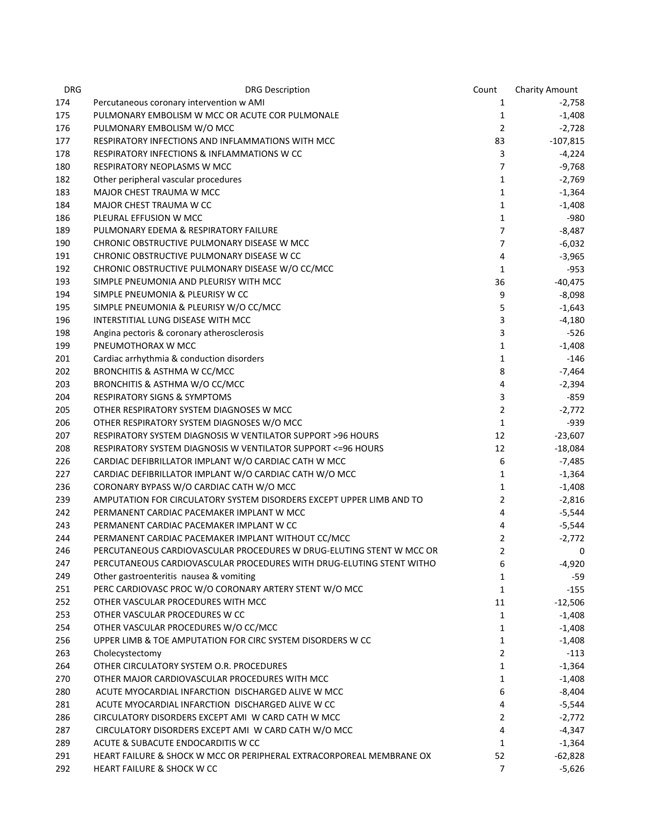| <b>DRG</b> | <b>DRG Description</b>                                                                       | Count               | <b>Charity Amount</b> |
|------------|----------------------------------------------------------------------------------------------|---------------------|-----------------------|
| 174        | Percutaneous coronary intervention w AMI                                                     | 1                   | $-2,758$              |
| 175        | PULMONARY EMBOLISM W MCC OR ACUTE COR PULMONALE                                              | $\mathbf{1}$        | $-1,408$              |
| 176        | PULMONARY EMBOLISM W/O MCC                                                                   | $\overline{2}$      | $-2,728$              |
| 177        | RESPIRATORY INFECTIONS AND INFLAMMATIONS WITH MCC                                            | 83                  | $-107,815$            |
| 178        | RESPIRATORY INFECTIONS & INFLAMMATIONS W CC                                                  | 3                   | $-4,224$              |
| 180        | RESPIRATORY NEOPLASMS W MCC                                                                  | $\overline{7}$      | $-9,768$              |
| 182        | Other peripheral vascular procedures                                                         | $\mathbf{1}$        | $-2,769$              |
| 183        | MAJOR CHEST TRAUMA W MCC                                                                     | $\mathbf{1}$        | $-1,364$              |
| 184        | MAJOR CHEST TRAUMA W CC                                                                      | $\mathbf{1}$        | $-1,408$              |
| 186        | PLEURAL EFFUSION W MCC                                                                       | $\mathbf{1}$        | -980                  |
| 189        | PULMONARY EDEMA & RESPIRATORY FAILURE                                                        | $\overline{7}$      | -8,487                |
| 190        | CHRONIC OBSTRUCTIVE PULMONARY DISEASE W MCC                                                  | $\overline{7}$      | $-6,032$              |
| 191        | CHRONIC OBSTRUCTIVE PULMONARY DISEASE W CC                                                   | 4                   | $-3,965$              |
| 192        | CHRONIC OBSTRUCTIVE PULMONARY DISEASE W/O CC/MCC                                             | $\mathbf{1}$        | -953                  |
| 193        | SIMPLE PNEUMONIA AND PLEURISY WITH MCC                                                       | 36                  | $-40,475$             |
| 194        | SIMPLE PNEUMONIA & PLEURISY W CC                                                             | 9                   | $-8,098$              |
| 195        | SIMPLE PNEUMONIA & PLEURISY W/O CC/MCC                                                       | 5                   | $-1,643$              |
| 196        | INTERSTITIAL LUNG DISEASE WITH MCC                                                           | 3                   | $-4,180$              |
| 198        | Angina pectoris & coronary atherosclerosis                                                   | 3                   | -526                  |
| 199        | PNEUMOTHORAX W MCC                                                                           | $\mathbf{1}$        | $-1,408$              |
| 201        | Cardiac arrhythmia & conduction disorders                                                    | 1                   | -146                  |
| 202        | BRONCHITIS & ASTHMA W CC/MCC                                                                 | 8                   | $-7,464$              |
| 203        | BRONCHITIS & ASTHMA W/O CC/MCC                                                               | 4                   | $-2,394$              |
| 204        | <b>RESPIRATORY SIGNS &amp; SYMPTOMS</b>                                                      | 3                   | -859                  |
| 205        | OTHER RESPIRATORY SYSTEM DIAGNOSES W MCC                                                     | $\overline{2}$      | $-2,772$              |
| 206        | OTHER RESPIRATORY SYSTEM DIAGNOSES W/O MCC                                                   | $\mathbf{1}$        | -939                  |
| 207        | RESPIRATORY SYSTEM DIAGNOSIS W VENTILATOR SUPPORT >96 HOURS                                  | 12                  | $-23,607$             |
| 208        | RESPIRATORY SYSTEM DIAGNOSIS W VENTILATOR SUPPORT <= 96 HOURS                                | 12                  | $-18,084$             |
| 226        | CARDIAC DEFIBRILLATOR IMPLANT W/O CARDIAC CATH W MCC                                         | 6                   | -7,485                |
| 227        | CARDIAC DEFIBRILLATOR IMPLANT W/O CARDIAC CATH W/O MCC                                       | $\mathbf{1}$        | $-1,364$              |
| 236        | CORONARY BYPASS W/O CARDIAC CATH W/O MCC                                                     | $\mathbf{1}$        |                       |
| 239        | AMPUTATION FOR CIRCULATORY SYSTEM DISORDERS EXCEPT UPPER LIMB AND TO                         | $\overline{2}$      | $-1,408$              |
| 242        | PERMANENT CARDIAC PACEMAKER IMPLANT W MCC                                                    | 4                   | $-2,816$              |
| 243        | PERMANENT CARDIAC PACEMAKER IMPLANT W CC                                                     |                     | $-5,544$              |
| 244        | PERMANENT CARDIAC PACEMAKER IMPLANT WITHOUT CC/MCC                                           | 4<br>$\overline{2}$ | $-5,544$              |
| 246        | PERCUTANEOUS CARDIOVASCULAR PROCEDURES W DRUG-ELUTING STENT W MCC OR                         |                     | $-2,772$              |
| 247        | PERCUTANEOUS CARDIOVASCULAR PROCEDURES WITH DRUG-ELUTING STENT WITHO                         | 2                   | 0                     |
|            | Other gastroenteritis nausea & vomiting                                                      | 6                   | -4,920<br>-59         |
| 249        |                                                                                              | $\mathbf{1}$        |                       |
| 251        | PERC CARDIOVASC PROC W/O CORONARY ARTERY STENT W/O MCC<br>OTHER VASCULAR PROCEDURES WITH MCC | $\mathbf{1}$        | $-155$                |
| 252        |                                                                                              | 11                  | $-12,506$             |
| 253        | OTHER VASCULAR PROCEDURES W CC                                                               | $\mathbf{1}$        | $-1,408$              |
| 254        | OTHER VASCULAR PROCEDURES W/O CC/MCC                                                         | 1                   | $-1,408$              |
| 256        | UPPER LIMB & TOE AMPUTATION FOR CIRC SYSTEM DISORDERS W CC                                   | $\mathbf{1}$        | $-1,408$              |
| 263        | Cholecystectomy                                                                              | $\overline{2}$      | $-113$                |
| 264        | OTHER CIRCULATORY SYSTEM O.R. PROCEDURES<br>OTHER MAJOR CARDIOVASCULAR PROCEDURES WITH MCC   | $\mathbf{1}$        | $-1,364$              |
| 270        |                                                                                              | $\mathbf{1}$        | $-1,408$              |
| 280        | ACUTE MYOCARDIAL INFARCTION DISCHARGED ALIVE W MCC                                           | 6                   | -8,404                |
| 281        | ACUTE MYOCARDIAL INFARCTION DISCHARGED ALIVE W CC                                            | 4                   | $-5,544$              |
| 286        | CIRCULATORY DISORDERS EXCEPT AMI W CARD CATH W MCC                                           | $\overline{2}$      | $-2,772$              |
| 287        | CIRCULATORY DISORDERS EXCEPT AMI W CARD CATH W/O MCC                                         | 4                   | $-4,347$              |
| 289        | ACUTE & SUBACUTE ENDOCARDITIS W CC                                                           | $\mathbf{1}$        | $-1,364$              |
| 291        | HEART FAILURE & SHOCK W MCC OR PERIPHERAL EXTRACORPOREAL MEMBRANE OX                         | 52                  | $-62,828$             |
| 292        | HEART FAILURE & SHOCK W CC                                                                   | $\overline{7}$      | $-5,626$              |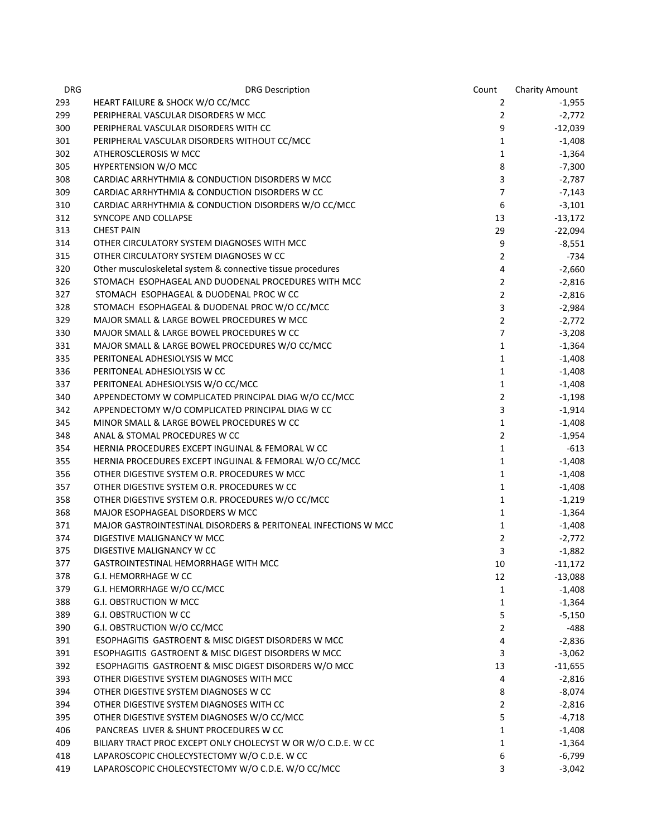| <b>DRG</b> | <b>DRG Description</b>                                         | Count          | <b>Charity Amount</b> |
|------------|----------------------------------------------------------------|----------------|-----------------------|
| 293        | HEART FAILURE & SHOCK W/O CC/MCC                               | 2              | $-1,955$              |
| 299        | PERIPHERAL VASCULAR DISORDERS W MCC                            | $\overline{2}$ | $-2,772$              |
| 300        | PERIPHERAL VASCULAR DISORDERS WITH CC                          | 9              | $-12,039$             |
| 301        | PERIPHERAL VASCULAR DISORDERS WITHOUT CC/MCC                   | $\mathbf{1}$   | $-1,408$              |
| 302        | ATHEROSCLEROSIS W MCC                                          | $\mathbf{1}$   | $-1,364$              |
| 305        | <b>HYPERTENSION W/O MCC</b>                                    | 8              | $-7,300$              |
| 308        | CARDIAC ARRHYTHMIA & CONDUCTION DISORDERS W MCC                | 3              | $-2,787$              |
| 309        | CARDIAC ARRHYTHMIA & CONDUCTION DISORDERS W CC                 | $\overline{7}$ | $-7,143$              |
| 310        | CARDIAC ARRHYTHMIA & CONDUCTION DISORDERS W/O CC/MCC           | 6              | $-3,101$              |
| 312        | SYNCOPE AND COLLAPSE                                           | 13             | $-13,172$             |
| 313        | <b>CHEST PAIN</b>                                              | 29             | $-22,094$             |
| 314        | OTHER CIRCULATORY SYSTEM DIAGNOSES WITH MCC                    | 9              | $-8,551$              |
| 315        | OTHER CIRCULATORY SYSTEM DIAGNOSES W CC                        | $\overline{2}$ | -734                  |
| 320        | Other musculoskeletal system & connective tissue procedures    | 4              | $-2,660$              |
| 326        | STOMACH ESOPHAGEAL AND DUODENAL PROCEDURES WITH MCC            | $\overline{2}$ | $-2,816$              |
| 327        | STOMACH ESOPHAGEAL & DUODENAL PROC W CC                        | $\overline{2}$ | $-2,816$              |
| 328        | STOMACH ESOPHAGEAL & DUODENAL PROC W/O CC/MCC                  | 3              | $-2,984$              |
| 329        | MAJOR SMALL & LARGE BOWEL PROCEDURES W MCC                     | $\overline{2}$ | $-2,772$              |
| 330        | MAJOR SMALL & LARGE BOWEL PROCEDURES W CC                      | $\overline{7}$ | $-3,208$              |
| 331        | MAJOR SMALL & LARGE BOWEL PROCEDURES W/O CC/MCC                | $\mathbf{1}$   | $-1,364$              |
| 335        | PERITONEAL ADHESIOLYSIS W MCC                                  | $\mathbf{1}$   | $-1,408$              |
| 336        | PERITONEAL ADHESIOLYSIS W CC                                   | $\mathbf{1}$   | $-1,408$              |
| 337        | PERITONEAL ADHESIOLYSIS W/O CC/MCC                             | $\mathbf{1}$   | $-1,408$              |
| 340        | APPENDECTOMY W COMPLICATED PRINCIPAL DIAG W/O CC/MCC           | $\overline{2}$ | $-1,198$              |
| 342        | APPENDECTOMY W/O COMPLICATED PRINCIPAL DIAG W CC               | 3              | $-1,914$              |
| 345        | MINOR SMALL & LARGE BOWEL PROCEDURES W CC                      | $\mathbf{1}$   | $-1,408$              |
| 348        | ANAL & STOMAL PROCEDURES W CC                                  | $\overline{2}$ | $-1,954$              |
| 354        | HERNIA PROCEDURES EXCEPT INGUINAL & FEMORAL W CC               | $\mathbf{1}$   | -613                  |
| 355        | HERNIA PROCEDURES EXCEPT INGUINAL & FEMORAL W/O CC/MCC         | $\mathbf{1}$   | $-1,408$              |
| 356        | OTHER DIGESTIVE SYSTEM O.R. PROCEDURES W MCC                   | $\mathbf{1}$   | $-1,408$              |
| 357        | OTHER DIGESTIVE SYSTEM O.R. PROCEDURES W CC                    | $\mathbf{1}$   | $-1,408$              |
| 358        | OTHER DIGESTIVE SYSTEM O.R. PROCEDURES W/O CC/MCC              | $\mathbf{1}$   | $-1,219$              |
| 368        | MAJOR ESOPHAGEAL DISORDERS W MCC                               | $\mathbf{1}$   | $-1,364$              |
| 371        | MAJOR GASTROINTESTINAL DISORDERS & PERITONEAL INFECTIONS W MCC | $\mathbf{1}$   | $-1,408$              |
| 374        | DIGESTIVE MALIGNANCY W MCC                                     | 2              | $-2,772$              |
| 375        | DIGESTIVE MALIGNANCY W CC                                      | 3              | $-1,882$              |
| 377        | GASTROINTESTINAL HEMORRHAGE WITH MCC                           | 10             | $-11,172$             |
| 378        | G.I. HEMORRHAGE W CC                                           | 12             | $-13,088$             |
| 379        | G.I. HEMORRHAGE W/O CC/MCC                                     | $\mathbf{1}$   | $-1,408$              |
| 388        | G.I. OBSTRUCTION W MCC                                         | $\mathbf{1}$   | $-1,364$              |
| 389        | <b>G.I. OBSTRUCTION W CC</b>                                   | 5              | $-5,150$              |
| 390        | G.I. OBSTRUCTION W/O CC/MCC                                    | $\overline{2}$ | -488                  |
| 391        | ESOPHAGITIS GASTROENT & MISC DIGEST DISORDERS W MCC            | 4              | $-2,836$              |
| 391        | ESOPHAGITIS GASTROENT & MISC DIGEST DISORDERS W MCC            | 3              | $-3,062$              |
| 392        | ESOPHAGITIS GASTROENT & MISC DIGEST DISORDERS W/O MCC          | 13             | $-11,655$             |
| 393        | OTHER DIGESTIVE SYSTEM DIAGNOSES WITH MCC                      | 4              | $-2,816$              |
| 394        | OTHER DIGESTIVE SYSTEM DIAGNOSES W CC                          | 8              | -8,074                |
| 394        | OTHER DIGESTIVE SYSTEM DIAGNOSES WITH CC                       | $\overline{2}$ | $-2,816$              |
| 395        | OTHER DIGESTIVE SYSTEM DIAGNOSES W/O CC/MCC                    | 5              | $-4,718$              |
| 406        | PANCREAS LIVER & SHUNT PROCEDURES W CC                         | $\mathbf{1}$   | $-1,408$              |
| 409        | BILIARY TRACT PROC EXCEPT ONLY CHOLECYST W OR W/O C.D.E. W CC  | 1              | $-1,364$              |
| 418        | LAPAROSCOPIC CHOLECYSTECTOMY W/O C.D.E. W CC                   | 6              | $-6,799$              |
| 419        | LAPAROSCOPIC CHOLECYSTECTOMY W/O C.D.E. W/O CC/MCC             | 3              | $-3,042$              |
|            |                                                                |                |                       |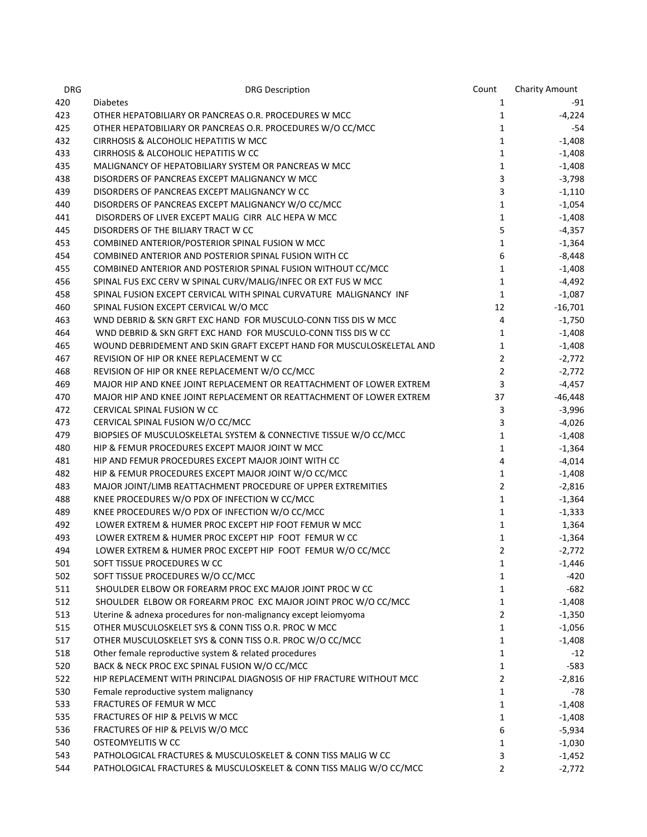| <b>DRG</b> | <b>DRG Description</b>                                               | Count          | Charity Amount |
|------------|----------------------------------------------------------------------|----------------|----------------|
| 420        | <b>Diabetes</b>                                                      | 1              | -91            |
| 423        | OTHER HEPATOBILIARY OR PANCREAS O.R. PROCEDURES W MCC                | $\mathbf{1}$   | $-4,224$       |
| 425        | OTHER HEPATOBILIARY OR PANCREAS O.R. PROCEDURES W/O CC/MCC           | $\mathbf{1}$   | -54            |
| 432        | CIRRHOSIS & ALCOHOLIC HEPATITIS W MCC                                | $\mathbf{1}$   | $-1,408$       |
| 433        | CIRRHOSIS & ALCOHOLIC HEPATITIS W CC                                 | $\mathbf{1}$   | $-1,408$       |
| 435        | MALIGNANCY OF HEPATOBILIARY SYSTEM OR PANCREAS W MCC                 | $\mathbf{1}$   | $-1,408$       |
| 438        | DISORDERS OF PANCREAS EXCEPT MALIGNANCY W MCC                        | 3              | $-3,798$       |
| 439        | DISORDERS OF PANCREAS EXCEPT MALIGNANCY W CC                         | 3              | $-1,110$       |
| 440        | DISORDERS OF PANCREAS EXCEPT MALIGNANCY W/O CC/MCC                   | $\mathbf{1}$   | $-1,054$       |
| 441        | DISORDERS OF LIVER EXCEPT MALIG CIRR ALC HEPA W MCC                  | $\mathbf{1}$   | $-1,408$       |
| 445        | DISORDERS OF THE BILIARY TRACT W CC                                  | 5              | $-4,357$       |
| 453        | COMBINED ANTERIOR/POSTERIOR SPINAL FUSION W MCC                      | 1              | $-1,364$       |
| 454        | COMBINED ANTERIOR AND POSTERIOR SPINAL FUSION WITH CC                | 6              | $-8,448$       |
| 455        | COMBINED ANTERIOR AND POSTERIOR SPINAL FUSION WITHOUT CC/MCC         | 1              | $-1,408$       |
| 456        | SPINAL FUS EXC CERV W SPINAL CURV/MALIG/INFEC OR EXT FUS W MCC       | $\mathbf{1}$   | $-4,492$       |
| 458        | SPINAL FUSION EXCEPT CERVICAL WITH SPINAL CURVATURE MALIGNANCY INF   | $\mathbf{1}$   | $-1,087$       |
| 460        | SPINAL FUSION EXCEPT CERVICAL W/O MCC                                | 12             | $-16,701$      |
| 463        | WND DEBRID & SKN GRFT EXC HAND FOR MUSCULO-CONN TISS DIS W MCC       | $\overline{4}$ | $-1,750$       |
| 464        | WND DEBRID & SKN GRFT EXC HAND FOR MUSCULO-CONN TISS DIS W CC        | $\mathbf{1}$   | $-1,408$       |
| 465        | WOUND DEBRIDEMENT AND SKIN GRAFT EXCEPT HAND FOR MUSCULOSKELETAL AND | $\mathbf{1}$   | $-1,408$       |
| 467        | REVISION OF HIP OR KNEE REPLACEMENT W CC                             | $\overline{2}$ | $-2,772$       |
| 468        | REVISION OF HIP OR KNEE REPLACEMENT W/O CC/MCC                       | $\overline{2}$ | $-2,772$       |
| 469        | MAJOR HIP AND KNEE JOINT REPLACEMENT OR REATTACHMENT OF LOWER EXTREM | 3              | $-4,457$       |
| 470        | MAJOR HIP AND KNEE JOINT REPLACEMENT OR REATTACHMENT OF LOWER EXTREM | 37             | $-46,448$      |
| 472        | CERVICAL SPINAL FUSION W CC                                          | 3              | $-3,996$       |
| 473        | CERVICAL SPINAL FUSION W/O CC/MCC                                    | 3              | $-4,026$       |
| 479        | BIOPSIES OF MUSCULOSKELETAL SYSTEM & CONNECTIVE TISSUE W/O CC/MCC    | $\mathbf{1}$   | $-1,408$       |
| 480        | HIP & FEMUR PROCEDURES EXCEPT MAJOR JOINT W MCC                      | $\mathbf{1}$   | $-1,364$       |
| 481        | HIP AND FEMUR PROCEDURES EXCEPT MAJOR JOINT WITH CC                  | 4              | $-4,014$       |
| 482        | HIP & FEMUR PROCEDURES EXCEPT MAJOR JOINT W/O CC/MCC                 | $\mathbf{1}$   | $-1,408$       |
| 483        | MAJOR JOINT/LIMB REATTACHMENT PROCEDURE OF UPPER EXTREMITIES         | $\overline{2}$ | $-2,816$       |
| 488        | KNEE PROCEDURES W/O PDX OF INFECTION W CC/MCC                        | $\mathbf{1}$   | $-1,364$       |
| 489        | KNEE PROCEDURES W/O PDX OF INFECTION W/O CC/MCC                      | $\mathbf{1}$   | $-1,333$       |
| 492        | LOWER EXTREM & HUMER PROC EXCEPT HIP FOOT FEMUR W MCC                | $\mathbf{1}$   | 1,364          |
| 493        | LOWER EXTREM & HUMER PROC EXCEPT HIP FOOT FEMUR W CC                 | $\mathbf{1}$   | $-1,364$       |
| 494        | LOWER EXTREM & HUMER PROC EXCEPT HIP FOOT FEMUR W/O CC/MCC           | $\overline{2}$ | $-2,772$       |
| 501        | SOFT TISSUE PROCEDURES W CC                                          | 1              | $-1,446$       |
| 502        | SOFT TISSUE PROCEDURES W/O CC/MCC                                    | 1              | -420           |
| 511        | SHOULDER ELBOW OR FOREARM PROC EXC MAJOR JOINT PROC W CC             | 1              | $-682$         |
| 512        | SHOULDER ELBOW OR FOREARM PROC EXC MAJOR JOINT PROC W/O CC/MCC       | 1              | $-1,408$       |
| 513        | Uterine & adnexa procedures for non-malignancy except leiomyoma      | 2              | $-1,350$       |
| 515        | OTHER MUSCULOSKELET SYS & CONN TISS O.R. PROC W MCC                  | 1              | $-1,056$       |
| 517        | OTHER MUSCULOSKELET SYS & CONN TISS O.R. PROC W/O CC/MCC             | 1              | $-1,408$       |
| 518        | Other female reproductive system & related procedures                | 1              | $-12$          |
| 520        | BACK & NECK PROC EXC SPINAL FUSION W/O CC/MCC                        | 1              | $-583$         |
| 522        | HIP REPLACEMENT WITH PRINCIPAL DIAGNOSIS OF HIP FRACTURE WITHOUT MCC | 2              | $-2,816$       |
| 530        | Female reproductive system malignancy                                | 1              | $-78$          |
| 533        | FRACTURES OF FEMUR W MCC                                             | 1              | $-1,408$       |
| 535        | FRACTURES OF HIP & PELVIS W MCC                                      | 1              | $-1,408$       |
| 536        | FRACTURES OF HIP & PELVIS W/O MCC                                    | 6              | $-5,934$       |
| 540        | OSTEOMYELITIS W CC                                                   | 1              | $-1,030$       |
| 543        | PATHOLOGICAL FRACTURES & MUSCULOSKELET & CONN TISS MALIG W CC        | 3              | $-1,452$       |
| 544        | PATHOLOGICAL FRACTURES & MUSCULOSKELET & CONN TISS MALIG W/O CC/MCC  | 2              | $-2,772$       |
|            |                                                                      |                |                |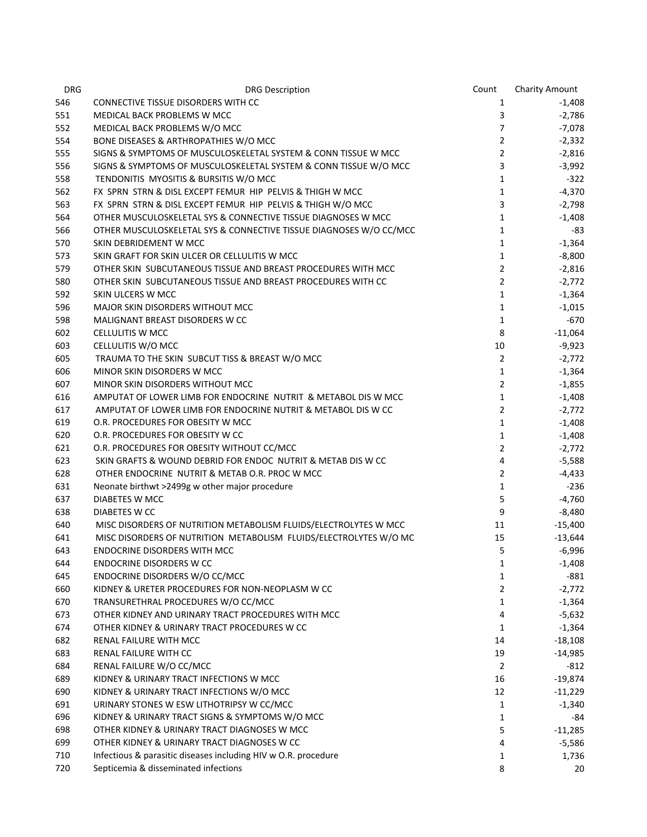| <b>DRG</b> | <b>DRG Description</b>                                             | Count                          | <b>Charity Amount</b> |
|------------|--------------------------------------------------------------------|--------------------------------|-----------------------|
| 546        | <b>CONNECTIVE TISSUE DISORDERS WITH CC</b>                         | 1                              | $-1,408$              |
| 551        | MEDICAL BACK PROBLEMS W MCC                                        | 3                              | $-2,786$              |
| 552        | MEDICAL BACK PROBLEMS W/O MCC                                      | $\overline{7}$                 | $-7,078$              |
| 554        | BONE DISEASES & ARTHROPATHIES W/O MCC                              | $\overline{2}$                 | $-2,332$              |
| 555        | SIGNS & SYMPTOMS OF MUSCULOSKELETAL SYSTEM & CONN TISSUE W MCC     | $\overline{2}$                 | $-2,816$              |
| 556        | SIGNS & SYMPTOMS OF MUSCULOSKELETAL SYSTEM & CONN TISSUE W/O MCC   | 3                              | $-3,992$              |
| 558        | TENDONITIS MYOSITIS & BURSITIS W/O MCC                             | $\mathbf{1}$                   | $-322$                |
| 562        | FX SPRN STRN & DISL EXCEPT FEMUR HIP PELVIS & THIGH W MCC          | $\mathbf{1}$                   | $-4,370$              |
| 563        | FX SPRN STRN & DISL EXCEPT FEMUR HIP PELVIS & THIGH W/O MCC        | 3                              | $-2,798$              |
| 564        | OTHER MUSCULOSKELETAL SYS & CONNECTIVE TISSUE DIAGNOSES W MCC      | $\mathbf{1}$                   | $-1,408$              |
| 566        | OTHER MUSCULOSKELETAL SYS & CONNECTIVE TISSUE DIAGNOSES W/O CC/MCC | 1                              | -83                   |
| 570        | SKIN DEBRIDEMENT W MCC                                             | 1                              | $-1,364$              |
| 573        | SKIN GRAFT FOR SKIN ULCER OR CELLULITIS W MCC                      | 1                              | $-8,800$              |
| 579        | OTHER SKIN SUBCUTANEOUS TISSUE AND BREAST PROCEDURES WITH MCC      | $\overline{2}$                 | $-2,816$              |
| 580        | OTHER SKIN SUBCUTANEOUS TISSUE AND BREAST PROCEDURES WITH CC       | $\overline{2}$                 | $-2,772$              |
| 592        | SKIN ULCERS W MCC                                                  | $\mathbf{1}$                   | $-1,364$              |
| 596        | MAJOR SKIN DISORDERS WITHOUT MCC                                   | 1                              | $-1,015$              |
| 598        | MALIGNANT BREAST DISORDERS W CC                                    | 1                              | -670                  |
| 602        | CELLULITIS W MCC                                                   | 8                              | $-11,064$             |
| 603        | CELLULITIS W/O MCC                                                 | 10                             | $-9,923$              |
| 605        | TRAUMA TO THE SKIN SUBCUT TISS & BREAST W/O MCC                    | $\mathbf{2}$                   | $-2,772$              |
|            |                                                                    |                                |                       |
| 606        | MINOR SKIN DISORDERS W MCC                                         | $\mathbf{1}$<br>$\overline{2}$ | $-1,364$              |
| 607        | MINOR SKIN DISORDERS WITHOUT MCC                                   |                                | $-1,855$              |
| 616        | AMPUTAT OF LOWER LIMB FOR ENDOCRINE NUTRIT & METABOL DIS W MCC     | $\mathbf{1}$                   | $-1,408$              |
| 617        | AMPUTAT OF LOWER LIMB FOR ENDOCRINE NUTRIT & METABOL DIS W CC      | $\overline{2}$                 | $-2,772$              |
| 619        | O.R. PROCEDURES FOR OBESITY W MCC                                  | $\mathbf{1}$                   | $-1,408$              |
| 620        | O.R. PROCEDURES FOR OBESITY W CC                                   | $\mathbf{1}$                   | $-1,408$              |
| 621        | O.R. PROCEDURES FOR OBESITY WITHOUT CC/MCC                         | $\mathbf{2}$                   | $-2,772$              |
| 623        | SKIN GRAFTS & WOUND DEBRID FOR ENDOC NUTRIT & METAB DIS W CC       | 4                              | $-5,588$              |
| 628        | OTHER ENDOCRINE NUTRIT & METAB O.R. PROC W MCC                     | $\overline{2}$                 | $-4,433$              |
| 631        | Neonate birthwt >2499g w other major procedure                     | $\mathbf{1}$                   | -236                  |
| 637        | DIABETES W MCC                                                     | 5                              | $-4,760$              |
| 638        | DIABETES W CC                                                      | 9                              | $-8,480$              |
| 640        | MISC DISORDERS OF NUTRITION METABOLISM FLUIDS/ELECTROLYTES W MCC   | 11                             | $-15,400$             |
| 641        | MISC DISORDERS OF NUTRITION METABOLISM FLUIDS/ELECTROLYTES W/O MC  | 15                             | $-13,644$             |
| 643        | <b>ENDOCRINE DISORDERS WITH MCC</b>                                | 5                              | $-6,996$              |
| 644        | <b>ENDOCRINE DISORDERS W CC</b>                                    | 1                              | $-1,408$              |
| 645        | ENDOCRINE DISORDERS W/O CC/MCC                                     | 1                              | $-881$                |
| 660        | KIDNEY & URETER PROCEDURES FOR NON-NEOPLASM W CC                   | 2                              | $-2,772$              |
| 670        | TRANSURETHRAL PROCEDURES W/O CC/MCC                                | 1                              | $-1,364$              |
| 673        | OTHER KIDNEY AND URINARY TRACT PROCEDURES WITH MCC                 | 4                              | $-5,632$              |
| 674        | OTHER KIDNEY & URINARY TRACT PROCEDURES W CC                       | 1                              | $-1,364$              |
| 682        | RENAL FAILURE WITH MCC                                             | 14                             | $-18,108$             |
| 683        | RENAL FAILURE WITH CC                                              | 19                             | $-14,985$             |
| 684        | RENAL FAILURE W/O CC/MCC                                           | $\overline{2}$                 | $-812$                |
| 689        | KIDNEY & URINARY TRACT INFECTIONS W MCC                            | 16                             | $-19,874$             |
| 690        | KIDNEY & URINARY TRACT INFECTIONS W/O MCC                          | 12                             | $-11,229$             |
| 691        | URINARY STONES W ESW LITHOTRIPSY W CC/MCC                          | 1                              | $-1,340$              |
| 696        | KIDNEY & URINARY TRACT SIGNS & SYMPTOMS W/O MCC                    | 1                              | -84                   |
| 698        | OTHER KIDNEY & URINARY TRACT DIAGNOSES W MCC                       | 5                              | $-11,285$             |
| 699        | OTHER KIDNEY & URINARY TRACT DIAGNOSES W CC                        | 4                              | $-5,586$              |
| 710        | Infectious & parasitic diseases including HIV w O.R. procedure     | 1                              | 1,736                 |
| 720        | Septicemia & disseminated infections                               | 8                              | 20                    |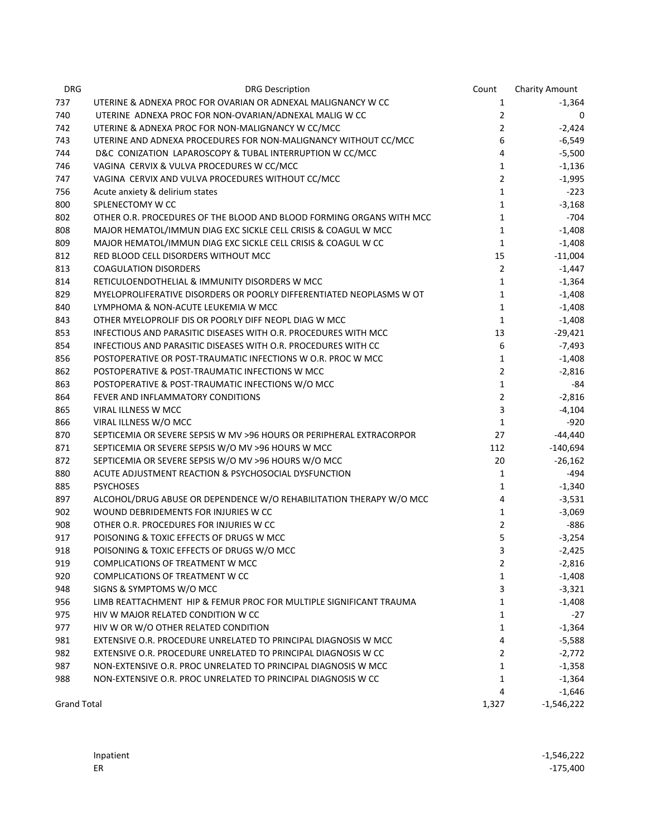| <b>DRG</b>         | <b>DRG Description</b>                                               | Count          | <b>Charity Amount</b> |
|--------------------|----------------------------------------------------------------------|----------------|-----------------------|
| 737                | UTERINE & ADNEXA PROC FOR OVARIAN OR ADNEXAL MALIGNANCY W CC         | 1              | $-1,364$              |
| 740                | UTERINE ADNEXA PROC FOR NON-OVARIAN/ADNEXAL MALIG W CC               | $\overline{2}$ | 0                     |
| 742                | UTERINE & ADNEXA PROC FOR NON-MALIGNANCY W CC/MCC                    | $2^{\circ}$    | $-2,424$              |
| 743                | UTERINE AND ADNEXA PROCEDURES FOR NON-MALIGNANCY WITHOUT CC/MCC      | 6              | $-6,549$              |
| 744                | D&C CONIZATION LAPAROSCOPY & TUBAL INTERRUPTION W CC/MCC             | 4              | $-5,500$              |
| 746                | VAGINA CERVIX & VULVA PROCEDURES W CC/MCC                            | 1              | $-1,136$              |
| 747                | VAGINA CERVIX AND VULVA PROCEDURES WITHOUT CC/MCC                    | $\overline{2}$ | $-1,995$              |
| 756                | Acute anxiety & delirium states                                      | $\mathbf{1}$   | $-223$                |
| 800                | SPLENECTOMY W CC                                                     | $\mathbf{1}$   | $-3,168$              |
| 802                | OTHER O.R. PROCEDURES OF THE BLOOD AND BLOOD FORMING ORGANS WITH MCC | 1              | $-704$                |
| 808                | MAJOR HEMATOL/IMMUN DIAG EXC SICKLE CELL CRISIS & COAGUL W MCC       | 1              | $-1,408$              |
| 809                | MAJOR HEMATOL/IMMUN DIAG EXC SICKLE CELL CRISIS & COAGUL W CC        | 1              | $-1,408$              |
| 812                | RED BLOOD CELL DISORDERS WITHOUT MCC                                 | 15             | $-11,004$             |
| 813                | <b>COAGULATION DISORDERS</b>                                         | $\overline{2}$ | $-1,447$              |
| 814                | RETICULOENDOTHELIAL & IMMUNITY DISORDERS W MCC                       | $\mathbf{1}$   | $-1,364$              |
| 829                | MYELOPROLIFERATIVE DISORDERS OR POORLY DIFFERENTIATED NEOPLASMS W OT | $\mathbf{1}$   | $-1,408$              |
| 840                | LYMPHOMA & NON-ACUTE LEUKEMIA W MCC                                  | $\mathbf{1}$   | $-1,408$              |
| 843                | OTHER MYELOPROLIF DIS OR POORLY DIFF NEOPL DIAG W MCC                | $\mathbf{1}$   | $-1,408$              |
| 853                | INFECTIOUS AND PARASITIC DISEASES WITH O.R. PROCEDURES WITH MCC.     | 13             | $-29,421$             |
| 854                | INFECTIOUS AND PARASITIC DISEASES WITH O.R. PROCEDURES WITH CC       | 6              | $-7,493$              |
| 856                | POSTOPERATIVE OR POST-TRAUMATIC INFECTIONS W O.R. PROC W MCC         | 1              | $-1,408$              |
| 862                | POSTOPERATIVE & POST-TRAUMATIC INFECTIONS W MCC                      | $\overline{2}$ | $-2,816$              |
| 863                | POSTOPERATIVE & POST-TRAUMATIC INFECTIONS W/O MCC                    | $\mathbf{1}$   | -84                   |
| 864                | FEVER AND INFLAMMATORY CONDITIONS                                    | $\overline{2}$ | $-2,816$              |
| 865                | VIRAL ILLNESS W MCC                                                  | 3              | $-4,104$              |
| 866                | VIRAL ILLNESS W/O MCC                                                | 1              | -920                  |
| 870                | SEPTICEMIA OR SEVERE SEPSIS W MV >96 HOURS OR PERIPHERAL EXTRACORPOR | 27             | $-44,440$             |
| 871                | SEPTICEMIA OR SEVERE SEPSIS W/O MV >96 HOURS W MCC                   | 112            | $-140,694$            |
| 872                | SEPTICEMIA OR SEVERE SEPSIS W/O MV >96 HOURS W/O MCC                 | 20             | $-26,162$             |
| 880                | ACUTE ADJUSTMENT REACTION & PSYCHOSOCIAL DYSFUNCTION                 | 1              | $-494$                |
| 885                | <b>PSYCHOSES</b>                                                     | $\mathbf{1}$   | $-1,340$              |
| 897                | ALCOHOL/DRUG ABUSE OR DEPENDENCE W/O REHABILITATION THERAPY W/O MCC  | 4              | $-3,531$              |
| 902                | WOUND DEBRIDEMENTS FOR INJURIES W CC                                 | 1              | $-3,069$              |
| 908                | OTHER O.R. PROCEDURES FOR INJURIES W CC                              | $\overline{2}$ | $-886$                |
| 917                | POISONING & TOXIC EFFECTS OF DRUGS W MCC                             | 5              | $-3,254$              |
| 918                | POISONING & TOXIC EFFECTS OF DRUGS W/O MCC                           | 3              | $-2,425$              |
| 919                | COMPLICATIONS OF TREATMENT W MCC                                     | 2              | $-2,816$              |
| 920                | COMPLICATIONS OF TREATMENT W CC                                      | 1              | $-1,408$              |
| 948                | SIGNS & SYMPTOMS W/O MCC                                             | 3              | $-3,321$              |
| 956                | LIMB REATTACHMENT HIP & FEMUR PROC FOR MULTIPLE SIGNIFICANT TRAUMA   | 1              | $-1,408$              |
| 975                | HIV W MAJOR RELATED CONDITION W CC                                   | 1              | $-27$                 |
| 977                | HIV W OR W/O OTHER RELATED CONDITION                                 | 1              | $-1,364$              |
| 981                | EXTENSIVE O.R. PROCEDURE UNRELATED TO PRINCIPAL DIAGNOSIS W MCC      | 4              | $-5,588$              |
| 982                | EXTENSIVE O.R. PROCEDURE UNRELATED TO PRINCIPAL DIAGNOSIS W CC       | 2              | $-2,772$              |
| 987                | NON-EXTENSIVE O.R. PROC UNRELATED TO PRINCIPAL DIAGNOSIS W MCC       | 1              | $-1,358$              |
| 988                | NON-EXTENSIVE O.R. PROC UNRELATED TO PRINCIPAL DIAGNOSIS W CC        | 1              | $-1,364$              |
|                    |                                                                      | 4              | $-1,646$              |
| <b>Grand Total</b> |                                                                      | 1,327          | $-1,546,222$          |

| Inpatient | $-1,546,222$ |
|-----------|--------------|
| ER        | $-175,400$   |
|           |              |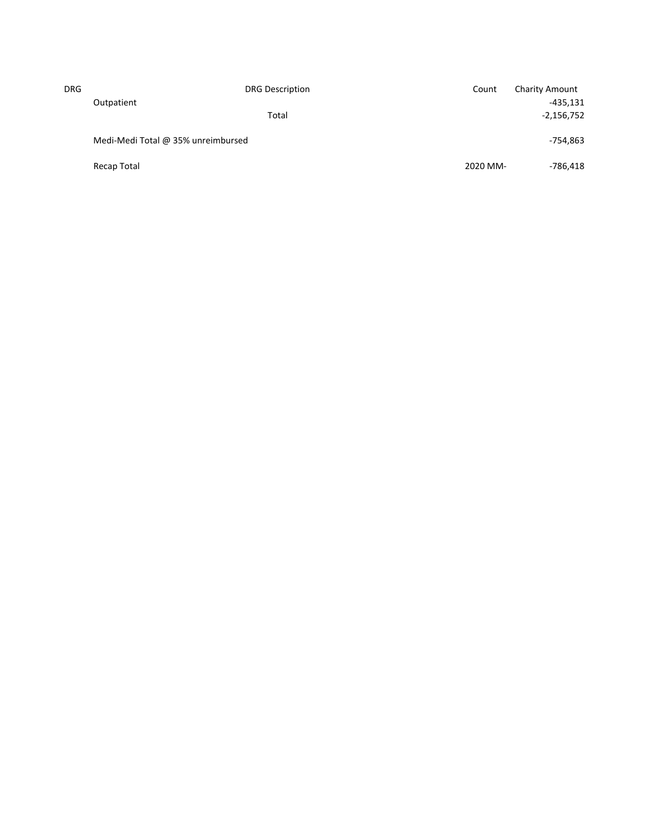| <b>DRG</b> |                                    | <b>DRG Description</b> | Count    | <b>Charity Amount</b> |
|------------|------------------------------------|------------------------|----------|-----------------------|
|            | Outpatient                         |                        |          | $-435,131$            |
|            |                                    | Total                  |          | $-2,156,752$          |
|            | Medi-Medi Total @ 35% unreimbursed |                        |          | -754,863              |
|            | Recap Total                        |                        | 2020 MM- | -786,418              |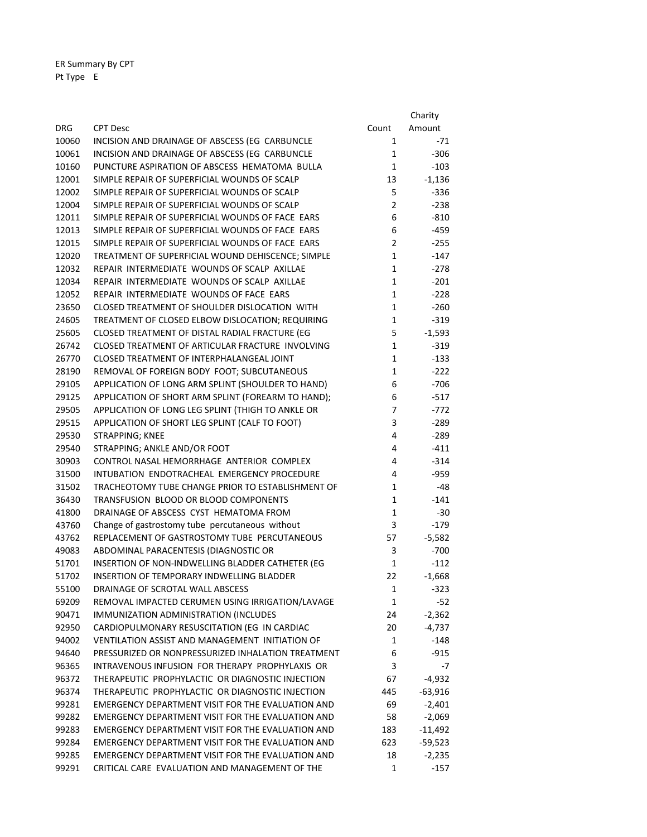ER Summary By CPT Pt Type E

|            |                                                    |                | Charity   |
|------------|----------------------------------------------------|----------------|-----------|
| <b>DRG</b> | <b>CPT Desc</b>                                    | Count          | Amount    |
| 10060      | INCISION AND DRAINAGE OF ABSCESS (EG CARBUNCLE     | 1              | $-71$     |
| 10061      | INCISION AND DRAINAGE OF ABSCESS (EG CARBUNCLE     | $\mathbf{1}$   | $-306$    |
| 10160      | PUNCTURE ASPIRATION OF ABSCESS HEMATOMA BULLA      | $\mathbf{1}$   | $-103$    |
| 12001      | SIMPLE REPAIR OF SUPERFICIAL WOUNDS OF SCALP       | 13             | $-1,136$  |
| 12002      | SIMPLE REPAIR OF SUPERFICIAL WOUNDS OF SCALP       | 5              | $-336$    |
| 12004      | SIMPLE REPAIR OF SUPERFICIAL WOUNDS OF SCALP       | $\overline{2}$ | $-238$    |
| 12011      | SIMPLE REPAIR OF SUPERFICIAL WOUNDS OF FACE EARS   | 6              | -810      |
| 12013      | SIMPLE REPAIR OF SUPERFICIAL WOUNDS OF FACE EARS   | 6              | $-459$    |
| 12015      | SIMPLE REPAIR OF SUPERFICIAL WOUNDS OF FACE EARS   | $\overline{2}$ | $-255$    |
| 12020      | TREATMENT OF SUPERFICIAL WOUND DEHISCENCE; SIMPLE  | $\mathbf{1}$   | -147      |
| 12032      | REPAIR INTERMEDIATE WOUNDS OF SCALP AXILLAE        | $\mathbf{1}$   | -278      |
| 12034      | REPAIR INTERMEDIATE WOUNDS OF SCALP AXILLAE        | $\mathbf{1}$   | $-201$    |
| 12052      | REPAIR INTERMEDIATE WOUNDS OF FACE EARS            | 1              | $-228$    |
| 23650      | CLOSED TREATMENT OF SHOULDER DISLOCATION WITH      | $\mathbf{1}$   | $-260$    |
| 24605      | TREATMENT OF CLOSED ELBOW DISLOCATION; REQUIRING   | $\mathbf{1}$   | $-319$    |
| 25605      | CLOSED TREATMENT OF DISTAL RADIAL FRACTURE (EG     | 5              | $-1,593$  |
| 26742      | CLOSED TREATMENT OF ARTICULAR FRACTURE INVOLVING   | $\mathbf{1}$   | $-319$    |
| 26770      | CLOSED TREATMENT OF INTERPHALANGEAL JOINT          | $\mathbf{1}$   | $-133$    |
| 28190      | REMOVAL OF FOREIGN BODY FOOT; SUBCUTANEOUS         | 1              | $-222$    |
| 29105      | APPLICATION OF LONG ARM SPLINT (SHOULDER TO HAND)  | 6              | $-706$    |
| 29125      | APPLICATION OF SHORT ARM SPLINT (FOREARM TO HAND); | 6              | $-517$    |
| 29505      | APPLICATION OF LONG LEG SPLINT (THIGH TO ANKLE OR  | 7              | -772      |
| 29515      | APPLICATION OF SHORT LEG SPLINT (CALF TO FOOT)     | 3              | -289      |
| 29530      | STRAPPING; KNEE                                    | 4              | -289      |
| 29540      | STRAPPING; ANKLE AND/OR FOOT                       | 4              | -411      |
| 30903      | CONTROL NASAL HEMORRHAGE ANTERIOR COMPLEX          | 4              | $-314$    |
| 31500      | INTUBATION ENDOTRACHEAL EMERGENCY PROCEDURE        | 4              | -959      |
| 31502      | TRACHEOTOMY TUBE CHANGE PRIOR TO ESTABLISHMENT OF  | 1              | -48       |
| 36430      | TRANSFUSION BLOOD OR BLOOD COMPONENTS              | 1              | $-141$    |
| 41800      | DRAINAGE OF ABSCESS CYST HEMATOMA FROM             | 1              | $-30$     |
| 43760      | Change of gastrostomy tube percutaneous without    | 3              | $-179$    |
| 43762      | REPLACEMENT OF GASTROSTOMY TUBE PERCUTANEOUS       | 57             | $-5,582$  |
| 49083      | ABDOMINAL PARACENTESIS (DIAGNOSTIC OR              | 3              | $-700$    |
| 51701      | INSERTION OF NON-INDWELLING BLADDER CATHETER (EG   | 1              | -112      |
| 51702      | INSERTION OF TEMPORARY INDWELLING BLADDER          | 22             | $-1,668$  |
| 55100      | DRAINAGE OF SCROTAL WALL ABSCESS                   | 1              | -323      |
| 69209      | REMOVAL IMPACTED CERUMEN USING IRRIGATION/LAVAGE   | 1              | -52       |
| 90471      | IMMUNIZATION ADMINISTRATION (INCLUDES              | 24             | $-2,362$  |
| 92950      | CARDIOPULMONARY RESUSCITATION (EG IN CARDIAC       | 20             | $-4,737$  |
| 94002      | VENTILATION ASSIST AND MANAGEMENT INITIATION OF    | 1              | -148      |
| 94640      | PRESSURIZED OR NONPRESSURIZED INHALATION TREATMENT | 6              | $-915$    |
| 96365      | INTRAVENOUS INFUSION FOR THERAPY PROPHYLAXIS OR    | 3              | $-7$      |
| 96372      | THERAPEUTIC PROPHYLACTIC OR DIAGNOSTIC INJECTION   | 67             | -4,932    |
| 96374      | THERAPEUTIC PROPHYLACTIC OR DIAGNOSTIC INJECTION   | 445            | $-63,916$ |
| 99281      | EMERGENCY DEPARTMENT VISIT FOR THE EVALUATION AND  | 69             | $-2,401$  |
| 99282      | EMERGENCY DEPARTMENT VISIT FOR THE EVALUATION AND  | 58             | $-2,069$  |
| 99283      | EMERGENCY DEPARTMENT VISIT FOR THE EVALUATION AND  | 183            | $-11,492$ |
| 99284      | EMERGENCY DEPARTMENT VISIT FOR THE EVALUATION AND  | 623            | $-59,523$ |
| 99285      | EMERGENCY DEPARTMENT VISIT FOR THE EVALUATION AND  | 18             | $-2,235$  |
| 99291      | CRITICAL CARE EVALUATION AND MANAGEMENT OF THE     | 1              | $-157$    |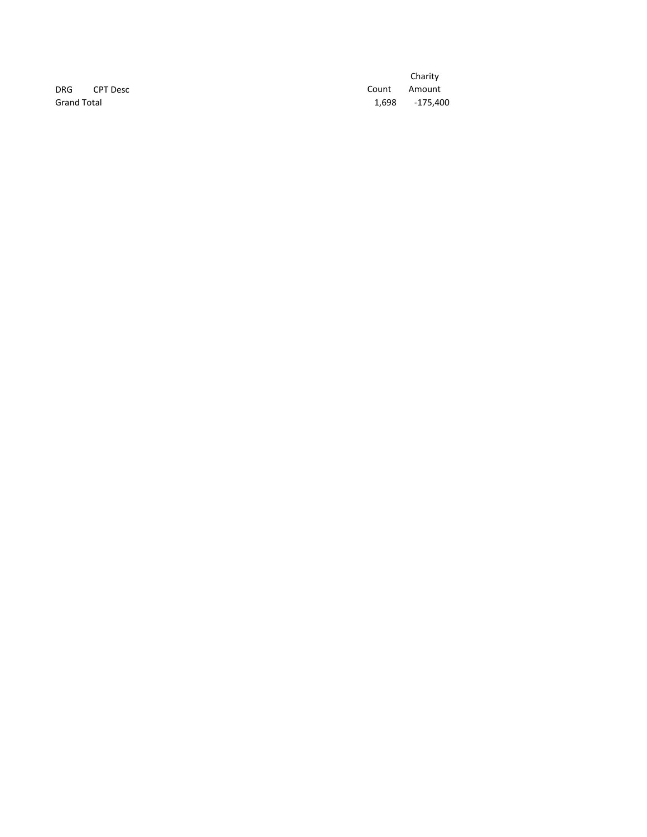**Grand Total** 

Charity DRG CPT Desc COUNTER COUNTER COUNTER Amount ‐175,400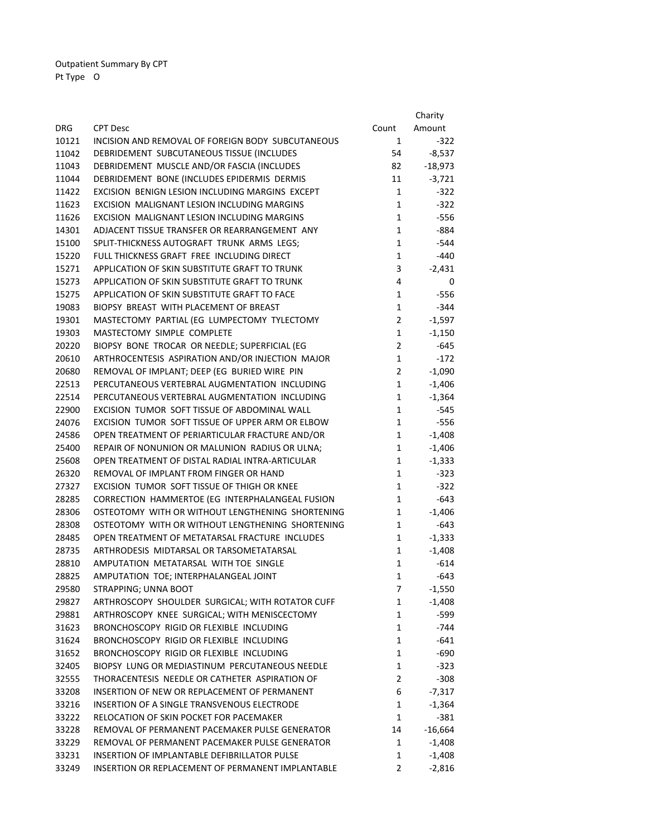|            |                                                    |                | Charity   |
|------------|----------------------------------------------------|----------------|-----------|
| <b>DRG</b> | <b>CPT Desc</b>                                    | Count          | Amount    |
| 10121      | INCISION AND REMOVAL OF FOREIGN BODY SUBCUTANEOUS  | 1              | $-322$    |
| 11042      | DEBRIDEMENT SUBCUTANEOUS TISSUE (INCLUDES          | 54             | $-8,537$  |
| 11043      | DEBRIDEMENT MUSCLE AND/OR FASCIA (INCLUDES         | 82             | $-18,973$ |
| 11044      | DEBRIDEMENT BONE (INCLUDES EPIDERMIS DERMIS        | 11             | $-3,721$  |
| 11422      | EXCISION BENIGN LESION INCLUDING MARGINS EXCEPT    | $\mathbf{1}$   | $-322$    |
| 11623      | EXCISION MALIGNANT LESION INCLUDING MARGINS        | $\mathbf{1}$   | $-322$    |
| 11626      | EXCISION MALIGNANT LESION INCLUDING MARGINS        | $\mathbf{1}$   | $-556$    |
| 14301      | ADJACENT TISSUE TRANSFER OR REARRANGEMENT ANY      | $\mathbf{1}$   | -884      |
| 15100      | SPLIT-THICKNESS AUTOGRAFT TRUNK ARMS LEGS;         | $\mathbf{1}$   | $-544$    |
| 15220      | FULL THICKNESS GRAFT FREE INCLUDING DIRECT         | $\mathbf{1}$   | $-440$    |
| 15271      | APPLICATION OF SKIN SUBSTITUTE GRAFT TO TRUNK      | 3              | $-2,431$  |
| 15273      | APPLICATION OF SKIN SUBSTITUTE GRAFT TO TRUNK      | 4              | 0         |
| 15275      | APPLICATION OF SKIN SUBSTITUTE GRAFT TO FACE       | $\mathbf{1}$   | $-556$    |
| 19083      | BIOPSY BREAST WITH PLACEMENT OF BREAST             | $\mathbf{1}$   | -344      |
| 19301      | MASTECTOMY PARTIAL (EG LUMPECTOMY TYLECTOMY        | $\overline{2}$ | $-1,597$  |
| 19303      | MASTECTOMY SIMPLE COMPLETE                         | $\mathbf{1}$   | $-1,150$  |
| 20220      | BIOPSY BONE TROCAR OR NEEDLE; SUPERFICIAL (EG      | $\overline{2}$ | $-645$    |
| 20610      | ARTHROCENTESIS ASPIRATION AND/OR INJECTION MAJOR   | $\mathbf{1}$   | $-172$    |
| 20680      | REMOVAL OF IMPLANT; DEEP (EG BURIED WIRE PIN       | $\overline{2}$ | $-1,090$  |
| 22513      | PERCUTANEOUS VERTEBRAL AUGMENTATION INCLUDING      | $\mathbf{1}$   | $-1,406$  |
| 22514      | PERCUTANEOUS VERTEBRAL AUGMENTATION INCLUDING      | $\mathbf{1}$   | $-1,364$  |
| 22900      | EXCISION TUMOR SOFT TISSUE OF ABDOMINAL WALL       | $\mathbf{1}$   | $-545$    |
| 24076      | EXCISION TUMOR SOFT TISSUE OF UPPER ARM OR ELBOW   | $\mathbf{1}$   | $-556$    |
| 24586      | OPEN TREATMENT OF PERIARTICULAR FRACTURE AND/OR    | $\mathbf{1}$   | $-1,408$  |
| 25400      | REPAIR OF NONUNION OR MALUNION RADIUS OR ULNA;     | $\mathbf{1}$   | $-1,406$  |
| 25608      | OPEN TREATMENT OF DISTAL RADIAL INTRA-ARTICULAR    | $\mathbf{1}$   | $-1,333$  |
| 26320      | REMOVAL OF IMPLANT FROM FINGER OR HAND             | $\mathbf{1}$   | $-323$    |
| 27327      | EXCISION TUMOR SOFT TISSUE OF THIGH OR KNEE        | $\mathbf{1}$   | $-322$    |
| 28285      | CORRECTION HAMMERTOE (EG INTERPHALANGEAL FUSION    | $\mathbf{1}$   | $-643$    |
| 28306      | OSTEOTOMY WITH OR WITHOUT LENGTHENING SHORTENING   | $\mathbf{1}$   | $-1,406$  |
| 28308      | OSTEOTOMY WITH OR WITHOUT LENGTHENING SHORTENING   | $\mathbf{1}$   | $-643$    |
| 28485      | OPEN TREATMENT OF METATARSAL FRACTURE INCLUDES     | $\mathbf{1}$   | $-1,333$  |
| 28735      | ARTHRODESIS MIDTARSAL OR TARSOMETATARSAL           | $\mathbf{1}$   | $-1,408$  |
| 28810      | AMPUTATION METATARSAL WITH TOE SINGLE              | $\mathbf{1}$   | $-614$    |
| 28825      | AMPUTATION TOE; INTERPHALANGEAL JOINT              | $\mathbf{1}$   | $-643$    |
| 29580      | STRAPPING; UNNA BOOT                               | 7              | $-1,550$  |
| 29827      | ARTHROSCOPY SHOULDER SURGICAL; WITH ROTATOR CUFF   | 1              | $-1,408$  |
| 29881      | ARTHROSCOPY KNEE SURGICAL; WITH MENISCECTOMY       | $\mathbf{1}$   | -599      |
| 31623      | BRONCHOSCOPY RIGID OR FLEXIBLE INCLUDING           | $\mathbf{1}$   | $-744$    |
| 31624      | BRONCHOSCOPY RIGID OR FLEXIBLE INCLUDING           | $\mathbf{1}$   | $-641$    |
| 31652      | BRONCHOSCOPY RIGID OR FLEXIBLE INCLUDING           | $\mathbf{1}$   | $-690$    |
| 32405      | BIOPSY LUNG OR MEDIASTINUM PERCUTANEOUS NEEDLE     | $\mathbf{1}$   | $-323$    |
| 32555      | THORACENTESIS NEEDLE OR CATHETER ASPIRATION OF     | $\overline{2}$ | $-308$    |
| 33208      | INSERTION OF NEW OR REPLACEMENT OF PERMANENT       | 6              | $-7,317$  |
| 33216      | <b>INSERTION OF A SINGLE TRANSVENOUS ELECTRODE</b> | 1              | $-1,364$  |
| 33222      | RELOCATION OF SKIN POCKET FOR PACEMAKER            | 1              | $-381$    |
| 33228      | REMOVAL OF PERMANENT PACEMAKER PULSE GENERATOR     | 14             | $-16,664$ |
| 33229      | REMOVAL OF PERMANENT PACEMAKER PULSE GENERATOR     | 1              | $-1,408$  |
| 33231      | INSERTION OF IMPLANTABLE DEFIBRILLATOR PULSE       | 1              | $-1,408$  |
| 33249      | INSERTION OR REPLACEMENT OF PERMANENT IMPLANTABLE  | $\overline{2}$ | $-2,816$  |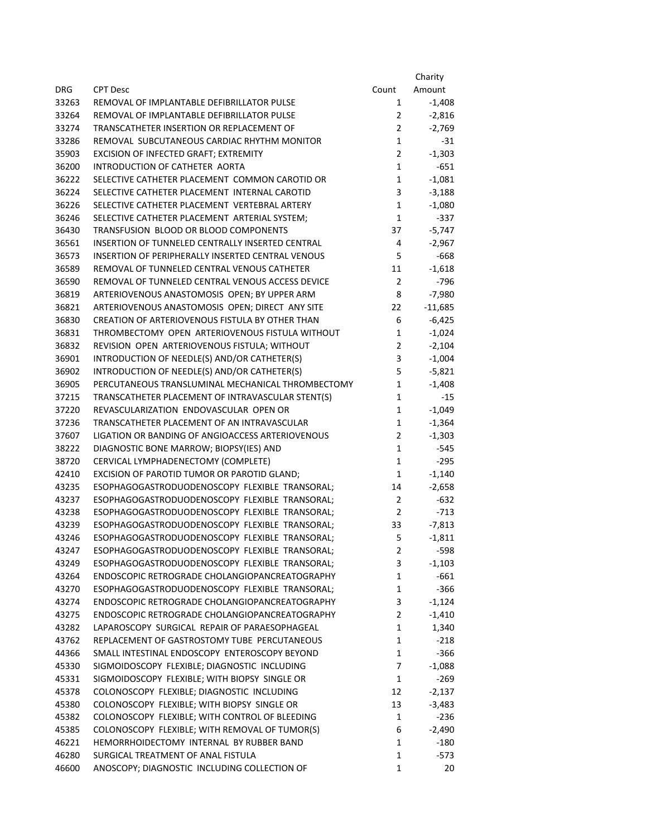|                |                                                                                             |                                | Charity            |
|----------------|---------------------------------------------------------------------------------------------|--------------------------------|--------------------|
| <b>DRG</b>     | <b>CPT Desc</b>                                                                             | Count                          | Amount             |
| 33263          | REMOVAL OF IMPLANTABLE DEFIBRILLATOR PULSE                                                  | $\mathbf{1}$                   | $-1,408$           |
| 33264          | REMOVAL OF IMPLANTABLE DEFIBRILLATOR PULSE                                                  | 2                              | $-2,816$           |
| 33274          | TRANSCATHETER INSERTION OR REPLACEMENT OF                                                   | $\overline{2}$                 | $-2,769$           |
| 33286          | REMOVAL SUBCUTANEOUS CARDIAC RHYTHM MONITOR                                                 | $\mathbf{1}$                   | $-31$              |
| 35903          | EXCISION OF INFECTED GRAFT; EXTREMITY                                                       | $\overline{2}$                 | $-1,303$           |
| 36200          | INTRODUCTION OF CATHETER AORTA                                                              | $\mathbf{1}$                   | $-651$             |
| 36222          | SELECTIVE CATHETER PLACEMENT COMMON CAROTID OR                                              | $\mathbf{1}$                   | $-1,081$           |
| 36224          | SELECTIVE CATHETER PLACEMENT INTERNAL CAROTID                                               | 3                              | $-3,188$           |
| 36226          | SELECTIVE CATHETER PLACEMENT VERTEBRAL ARTERY                                               | $\mathbf{1}$                   | $-1,080$           |
| 36246          | SELECTIVE CATHETER PLACEMENT ARTERIAL SYSTEM;                                               | $\mathbf{1}$                   | $-337$             |
| 36430          | TRANSFUSION BLOOD OR BLOOD COMPONENTS                                                       | 37                             | $-5,747$           |
| 36561          | INSERTION OF TUNNELED CENTRALLY INSERTED CENTRAL                                            | 4                              | $-2,967$           |
| 36573          | INSERTION OF PERIPHERALLY INSERTED CENTRAL VENOUS                                           | 5                              | $-668$             |
| 36589          | REMOVAL OF TUNNELED CENTRAL VENOUS CATHETER                                                 | 11                             | $-1,618$           |
| 36590          | REMOVAL OF TUNNELED CENTRAL VENOUS ACCESS DEVICE                                            | $\overline{2}$                 | $-796$             |
| 36819          | ARTERIOVENOUS ANASTOMOSIS OPEN; BY UPPER ARM                                                | 8                              | $-7,980$           |
| 36821          | ARTERIOVENOUS ANASTOMOSIS OPEN; DIRECT ANY SITE                                             | 22                             | $-11,685$          |
| 36830          | CREATION OF ARTERIOVENOUS FISTULA BY OTHER THAN                                             | 6                              | $-6,425$           |
| 36831          | THROMBECTOMY OPEN ARTERIOVENOUS FISTULA WITHOUT                                             | $\mathbf{1}$                   | $-1,024$           |
| 36832          | REVISION OPEN ARTERIOVENOUS FISTULA; WITHOUT                                                | $\overline{2}$                 | $-2,104$           |
| 36901          | INTRODUCTION OF NEEDLE(S) AND/OR CATHETER(S)                                                | 3                              | $-1,004$           |
| 36902          | INTRODUCTION OF NEEDLE(S) AND/OR CATHETER(S)                                                | 5                              | $-5,821$           |
| 36905          | PERCUTANEOUS TRANSLUMINAL MECHANICAL THROMBECTOMY                                           | $\mathbf 1$                    | $-1,408$           |
| 37215          | TRANSCATHETER PLACEMENT OF INTRAVASCULAR STENT(S)                                           | $\mathbf 1$                    | $-15$              |
| 37220          | REVASCULARIZATION ENDOVASCULAR OPEN OR                                                      | $\mathbf{1}$                   | $-1,049$           |
| 37236<br>37607 | TRANSCATHETER PLACEMENT OF AN INTRAVASCULAR                                                 | $\mathbf{1}$<br>$\overline{2}$ | $-1,364$           |
| 38222          | LIGATION OR BANDING OF ANGIOACCESS ARTERIOVENOUS<br>DIAGNOSTIC BONE MARROW; BIOPSY(IES) AND | $\mathbf{1}$                   | $-1,303$<br>$-545$ |
| 38720          | CERVICAL LYMPHADENECTOMY (COMPLETE)                                                         | $\mathbf{1}$                   | $-295$             |
| 42410          | EXCISION OF PAROTID TUMOR OR PAROTID GLAND;                                                 | 1                              | $-1,140$           |
| 43235          | ESOPHAGOGASTRODUODENOSCOPY FLEXIBLE TRANSORAL;                                              | 14                             | $-2,658$           |
| 43237          | ESOPHAGOGASTRODUODENOSCOPY FLEXIBLE TRANSORAL;                                              | $\overline{2}$                 | $-632$             |
| 43238          | ESOPHAGOGASTRODUODENOSCOPY FLEXIBLE TRANSORAL;                                              | $\overline{2}$                 | $-713$             |
| 43239          | ESOPHAGOGASTRODUODENOSCOPY FLEXIBLE TRANSORAL;                                              | 33                             | $-7,813$           |
| 43246          | ESOPHAGOGASTRODUODENOSCOPY FLEXIBLE TRANSORAL:                                              | 5                              | $-1,811$           |
| 43247          | ESOPHAGOGASTRODUODENOSCOPY FLEXIBLE TRANSORAL;                                              | 2                              | $-598$             |
| 43249          | ESOPHAGOGASTRODUODENOSCOPY FLEXIBLE TRANSORAL;                                              | 3                              | $-1,103$           |
| 43264          | ENDOSCOPIC RETROGRADE CHOLANGIOPANCREATOGRAPHY                                              | $\mathbf 1$                    | $-661$             |
| 43270          | ESOPHAGOGASTRODUODENOSCOPY FLEXIBLE TRANSORAL;                                              | $\mathbf 1$                    | $-366$             |
| 43274          | ENDOSCOPIC RETROGRADE CHOLANGIOPANCREATOGRAPHY                                              | 3                              | $-1,124$           |
| 43275          | ENDOSCOPIC RETROGRADE CHOLANGIOPANCREATOGRAPHY                                              | $\overline{2}$                 | $-1,410$           |
| 43282          | LAPAROSCOPY SURGICAL REPAIR OF PARAESOPHAGEAL                                               | $\mathbf{1}$                   | 1,340              |
| 43762          | REPLACEMENT OF GASTROSTOMY TUBE PERCUTANEOUS                                                | $\mathbf 1$                    | $-218$             |
| 44366          | SMALL INTESTINAL ENDOSCOPY ENTEROSCOPY BEYOND                                               | $\mathbf 1$                    | $-366$             |
| 45330          | SIGMOIDOSCOPY FLEXIBLE; DIAGNOSTIC INCLUDING                                                | 7                              | $-1,088$           |
| 45331          | SIGMOIDOSCOPY FLEXIBLE; WITH BIOPSY SINGLE OR                                               | $\mathbf 1$                    | $-269$             |
| 45378          | COLONOSCOPY FLEXIBLE; DIAGNOSTIC INCLUDING                                                  | 12                             | $-2,137$           |
| 45380          | COLONOSCOPY FLEXIBLE; WITH BIOPSY SINGLE OR                                                 | 13                             | $-3,483$           |
| 45382          | COLONOSCOPY FLEXIBLE; WITH CONTROL OF BLEEDING                                              | $\mathbf 1$                    | $-236$             |
| 45385          | COLONOSCOPY FLEXIBLE; WITH REMOVAL OF TUMOR(S)                                              | 6                              | $-2,490$           |
| 46221          | HEMORRHOIDECTOMY INTERNAL BY RUBBER BAND                                                    | $\mathbf 1$                    | $-180$             |
| 46280          | SURGICAL TREATMENT OF ANAL FISTULA                                                          | $\mathbf{1}$                   | $-573$             |
| 46600          | ANOSCOPY; DIAGNOSTIC INCLUDING COLLECTION OF                                                | $\mathbf{1}$                   | 20                 |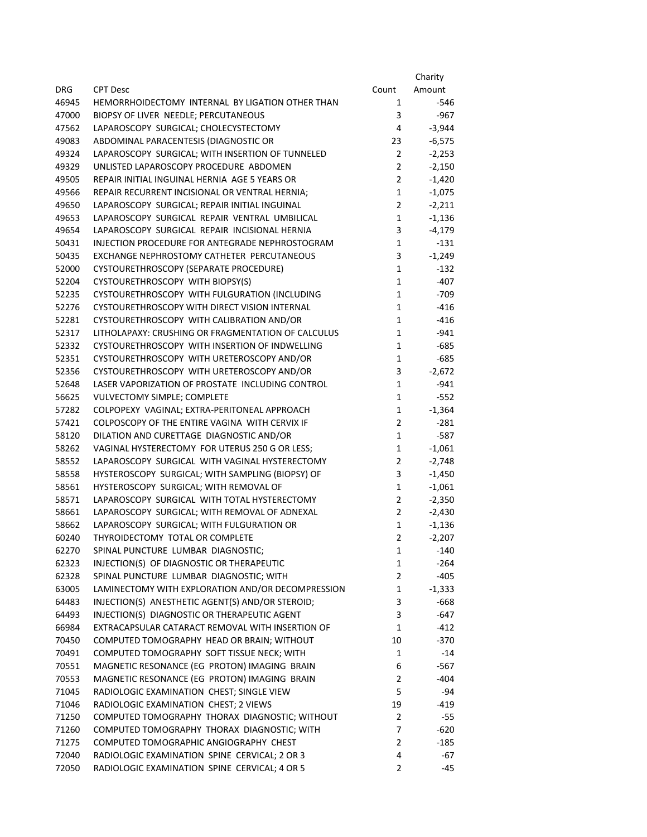|            |                                                    |                | Charity  |
|------------|----------------------------------------------------|----------------|----------|
| <b>DRG</b> | <b>CPT Desc</b>                                    | Count          | Amount   |
| 46945      | HEMORRHOIDECTOMY INTERNAL BY LIGATION OTHER THAN   | 1              | $-546$   |
| 47000      | BIOPSY OF LIVER NEEDLE; PERCUTANEOUS               | 3              | $-967$   |
| 47562      | LAPAROSCOPY SURGICAL; CHOLECYSTECTOMY              | 4              | $-3,944$ |
| 49083      | ABDOMINAL PARACENTESIS (DIAGNOSTIC OR              | 23             | $-6,575$ |
| 49324      | LAPAROSCOPY SURGICAL; WITH INSERTION OF TUNNELED   | $\overline{2}$ | $-2,253$ |
| 49329      | UNLISTED LAPAROSCOPY PROCEDURE ABDOMEN             | $\overline{2}$ | $-2,150$ |
| 49505      | REPAIR INITIAL INGUINAL HERNIA AGE 5 YEARS OR      | $\overline{2}$ | $-1,420$ |
| 49566      | REPAIR RECURRENT INCISIONAL OR VENTRAL HERNIA;     | $\mathbf{1}$   | $-1,075$ |
| 49650      | LAPAROSCOPY SURGICAL; REPAIR INITIAL INGUINAL      | $\overline{2}$ | $-2,211$ |
| 49653      | LAPAROSCOPY SURGICAL REPAIR VENTRAL UMBILICAL      | $\mathbf 1$    | $-1,136$ |
| 49654      | LAPAROSCOPY SURGICAL REPAIR INCISIONAL HERNIA      | 3              | $-4,179$ |
| 50431      | INJECTION PROCEDURE FOR ANTEGRADE NEPHROSTOGRAM    | $\mathbf{1}$   | $-131$   |
| 50435      | EXCHANGE NEPHROSTOMY CATHETER PERCUTANEOUS         | 3              | $-1,249$ |
| 52000      | CYSTOURETHROSCOPY (SEPARATE PROCEDURE)             | $\mathbf{1}$   | -132     |
| 52204      | CYSTOURETHROSCOPY WITH BIOPSY(S)                   | $\mathbf{1}$   | $-407$   |
| 52235      | CYSTOURETHROSCOPY WITH FULGURATION (INCLUDING      | $\mathbf{1}$   | $-709$   |
| 52276      | CYSTOURETHROSCOPY WITH DIRECT VISION INTERNAL      | $\mathbf{1}$   | $-416$   |
| 52281      | CYSTOURETHROSCOPY WITH CALIBRATION AND/OR          | $\mathbf{1}$   | $-416$   |
| 52317      | LITHOLAPAXY: CRUSHING OR FRAGMENTATION OF CALCULUS | $\mathbf{1}$   | $-941$   |
| 52332      | CYSTOURETHROSCOPY WITH INSERTION OF INDWELLING     | $\mathbf{1}$   | $-685$   |
| 52351      | CYSTOURETHROSCOPY WITH URETEROSCOPY AND/OR         | $\mathbf{1}$   | $-685$   |
| 52356      | CYSTOURETHROSCOPY WITH URETEROSCOPY AND/OR         | 3              | $-2,672$ |
| 52648      | LASER VAPORIZATION OF PROSTATE INCLUDING CONTROL   | $\mathbf{1}$   | $-941$   |
| 56625      | VULVECTOMY SIMPLE; COMPLETE                        | $\mathbf{1}$   | $-552$   |
| 57282      | COLPOPEXY VAGINAL; EXTRA-PERITONEAL APPROACH       | $\mathbf 1$    | $-1,364$ |
| 57421      | COLPOSCOPY OF THE ENTIRE VAGINA WITH CERVIX IF     | $\overline{2}$ | $-281$   |
| 58120      | DILATION AND CURETTAGE DIAGNOSTIC AND/OR           | $\mathbf{1}$   | $-587$   |
| 58262      | VAGINAL HYSTERECTOMY FOR UTERUS 250 G OR LESS;     | $\mathbf 1$    | $-1,061$ |
| 58552      | LAPAROSCOPY SURGICAL WITH VAGINAL HYSTERECTOMY     | $\overline{2}$ | $-2,748$ |
| 58558      | HYSTEROSCOPY SURGICAL; WITH SAMPLING (BIOPSY) OF   | 3              | $-1,450$ |
| 58561      | HYSTEROSCOPY SURGICAL; WITH REMOVAL OF             | $\mathbf 1$    | $-1,061$ |
| 58571      | LAPAROSCOPY SURGICAL WITH TOTAL HYSTERECTOMY       | 2              | $-2,350$ |
| 58661      | LAPAROSCOPY SURGICAL; WITH REMOVAL OF ADNEXAL      | 2              | $-2,430$ |
| 58662      | LAPAROSCOPY SURGICAL; WITH FULGURATION OR          | $\mathbf{1}$   | $-1,136$ |
| 60240      | THYROIDECTOMY TOTAL OR COMPLETE                    | $\overline{2}$ | $-2,207$ |
| 62270      | SPINAL PUNCTURE LUMBAR DIAGNOSTIC;                 | $\mathbf{1}$   | $-140$   |
| 62323      | INJECTION(S) OF DIAGNOSTIC OR THERAPEUTIC          | $\mathbf 1$    | $-264$   |
| 62328      | SPINAL PUNCTURE LUMBAR DIAGNOSTIC; WITH            | 2              | $-405$   |
| 63005      | LAMINECTOMY WITH EXPLORATION AND/OR DECOMPRESSION  | $\mathbf 1$    | $-1,333$ |
| 64483      | INJECTION(S) ANESTHETIC AGENT(S) AND/OR STEROID;   | 3              | $-668$   |
| 64493      | INJECTION(S) DIAGNOSTIC OR THERAPEUTIC AGENT       | 3              | -647     |
| 66984      | EXTRACAPSULAR CATARACT REMOVAL WITH INSERTION OF   | $\mathbf{1}$   | $-412$   |
| 70450      | COMPUTED TOMOGRAPHY HEAD OR BRAIN; WITHOUT         | 10             | $-370$   |
| 70491      | COMPUTED TOMOGRAPHY SOFT TISSUE NECK; WITH         | $\mathbf{1}$   | $-14$    |
| 70551      | MAGNETIC RESONANCE (EG PROTON) IMAGING BRAIN       | 6              | $-567$   |
| 70553      | MAGNETIC RESONANCE (EG PROTON) IMAGING BRAIN       | $\overline{2}$ | $-404$   |
| 71045      | RADIOLOGIC EXAMINATION CHEST; SINGLE VIEW          | 5              | -94      |
| 71046      | RADIOLOGIC EXAMINATION CHEST; 2 VIEWS              | 19             | $-419$   |
| 71250      | COMPUTED TOMOGRAPHY THORAX DIAGNOSTIC; WITHOUT     | 2              | $-55$    |
| 71260      | COMPUTED TOMOGRAPHY THORAX DIAGNOSTIC; WITH        | 7              | $-620$   |
| 71275      | COMPUTED TOMOGRAPHIC ANGIOGRAPHY CHEST             | 2              | $-185$   |
| 72040      | RADIOLOGIC EXAMINATION SPINE CERVICAL; 2 OR 3      | 4              | $-67$    |
| 72050      | RADIOLOGIC EXAMINATION SPINE CERVICAL; 4 OR 5      | 2              | $-45$    |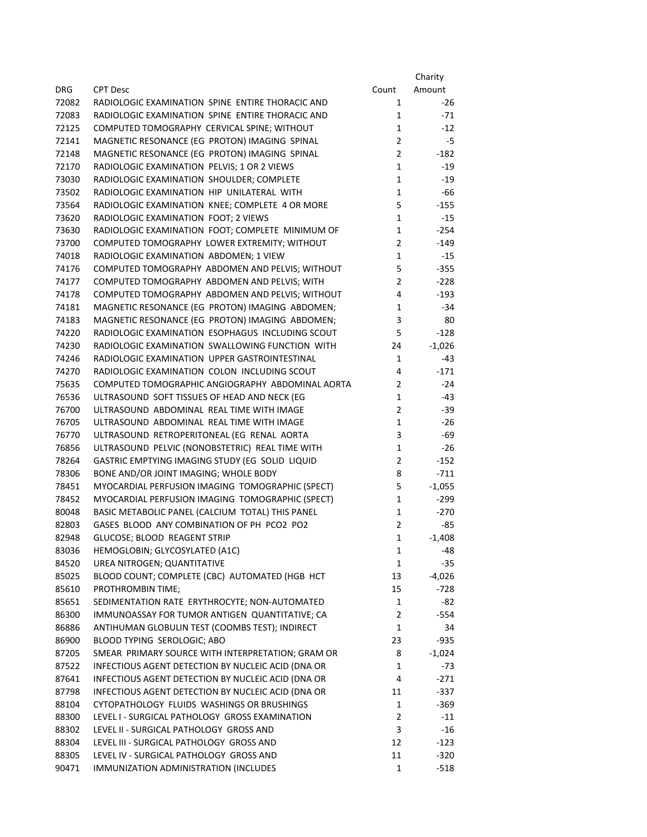|       |                                                    |                | Charity  |
|-------|----------------------------------------------------|----------------|----------|
| DRG.  | <b>CPT Desc</b>                                    | Count          | Amount   |
| 72082 | RADIOLOGIC EXAMINATION SPINE ENTIRE THORACIC AND   | 1              | -26      |
| 72083 | RADIOLOGIC EXAMINATION SPINE ENTIRE THORACIC AND   | $\mathbf{1}$   | $-71$    |
| 72125 | COMPUTED TOMOGRAPHY CERVICAL SPINE; WITHOUT        | $\mathbf{1}$   | $-12$    |
| 72141 | MAGNETIC RESONANCE (EG PROTON) IMAGING SPINAL      | $\overline{2}$ | $-5$     |
| 72148 | MAGNETIC RESONANCE (EG PROTON) IMAGING SPINAL      | $\overline{2}$ | $-182$   |
| 72170 | RADIOLOGIC EXAMINATION PELVIS; 1 OR 2 VIEWS        | $\mathbf{1}$   | $-19$    |
| 73030 | RADIOLOGIC EXAMINATION SHOULDER; COMPLETE          | $\mathbf{1}$   | $-19$    |
| 73502 | RADIOLOGIC EXAMINATION HIP UNILATERAL WITH         | $\mathbf{1}$   | $-66$    |
| 73564 | RADIOLOGIC EXAMINATION KNEE; COMPLETE 4 OR MORE    | 5              | $-155$   |
| 73620 | RADIOLOGIC EXAMINATION FOOT; 2 VIEWS               | $\mathbf{1}$   | $-15$    |
| 73630 | RADIOLOGIC EXAMINATION FOOT; COMPLETE MINIMUM OF   | $\mathbf{1}$   | $-254$   |
| 73700 | COMPUTED TOMOGRAPHY LOWER EXTREMITY; WITHOUT       | $\overline{2}$ | -149     |
| 74018 | RADIOLOGIC EXAMINATION ABDOMEN; 1 VIEW             | $\mathbf{1}$   | $-15$    |
| 74176 | COMPUTED TOMOGRAPHY ABDOMEN AND PELVIS; WITHOUT    | 5              | $-355$   |
| 74177 | COMPUTED TOMOGRAPHY ABDOMEN AND PELVIS; WITH       | $\overline{2}$ | $-228$   |
| 74178 | COMPUTED TOMOGRAPHY ABDOMEN AND PELVIS; WITHOUT    | 4              | $-193$   |
| 74181 | MAGNETIC RESONANCE (EG PROTON) IMAGING ABDOMEN;    | 1              | $-34$    |
| 74183 | MAGNETIC RESONANCE (EG PROTON) IMAGING ABDOMEN;    | 3              | 80       |
| 74220 | RADIOLOGIC EXAMINATION ESOPHAGUS INCLUDING SCOUT   | 5              | $-128$   |
| 74230 | RADIOLOGIC EXAMINATION SWALLOWING FUNCTION WITH    | 24             | $-1,026$ |
| 74246 | RADIOLOGIC EXAMINATION UPPER GASTROINTESTINAL      | 1              | -43      |
| 74270 | RADIOLOGIC EXAMINATION COLON INCLUDING SCOUT       | 4              | $-171$   |
| 75635 | COMPUTED TOMOGRAPHIC ANGIOGRAPHY ABDOMINAL AORTA   | 2              | $-24$    |
| 76536 | ULTRASOUND SOFT TISSUES OF HEAD AND NECK (EG       | $\mathbf{1}$   | $-43$    |
| 76700 | ULTRASOUND ABDOMINAL REAL TIME WITH IMAGE          | $\overline{2}$ | $-39$    |
| 76705 | ULTRASOUND ABDOMINAL REAL TIME WITH IMAGE          | $\mathbf{1}$   | $-26$    |
| 76770 | ULTRASOUND RETROPERITONEAL (EG RENAL AORTA         | 3              | $-69$    |
| 76856 | ULTRASOUND PELVIC (NONOBSTETRIC) REAL TIME WITH    | $\mathbf{1}$   | $-26$    |
| 78264 | GASTRIC EMPTYING IMAGING STUDY (EG SOLID LIQUID    | $\overline{2}$ | $-152$   |
| 78306 | BONE AND/OR JOINT IMAGING; WHOLE BODY              | 8              | $-711$   |
| 78451 | MYOCARDIAL PERFUSION IMAGING TOMOGRAPHIC (SPECT)   | 5              | $-1,055$ |
| 78452 | MYOCARDIAL PERFUSION IMAGING TOMOGRAPHIC (SPECT)   | $\mathbf{1}$   | $-299$   |
| 80048 | BASIC METABOLIC PANEL (CALCIUM TOTAL) THIS PANEL   | 1              | $-270$   |
| 82803 | GASES BLOOD ANY COMBINATION OF PH PCO2 PO2         | $\overline{2}$ | $-85$    |
| 82948 | GLUCOSE; BLOOD REAGENT STRIP                       | $\mathbf{1}$   | $-1,408$ |
| 83036 | HEMOGLOBIN; GLYCOSYLATED (A1C)                     | 1              | -48      |
| 84520 | UREA NITROGEN; QUANTITATIVE                        | $\mathbf{1}$   | $-35$    |
| 85025 | BLOOD COUNT; COMPLETE (CBC) AUTOMATED (HGB HCT     | 13             | $-4,026$ |
| 85610 | PROTHROMBIN TIME;                                  | 15             | $-728$   |
| 85651 | SEDIMENTATION RATE ERYTHROCYTE; NON-AUTOMATED      | $\mathbf{1}$   | $-82$    |
| 86300 | IMMUNOASSAY FOR TUMOR ANTIGEN QUANTITATIVE; CA     | 2              | $-554$   |
| 86886 | ANTIHUMAN GLOBULIN TEST (COOMBS TEST); INDIRECT    | $\mathbf{1}$   | 34       |
| 86900 | BLOOD TYPING SEROLOGIC; ABO                        | 23             | $-935$   |
| 87205 | SMEAR PRIMARY SOURCE WITH INTERPRETATION; GRAM OR  | 8              | $-1,024$ |
| 87522 | INFECTIOUS AGENT DETECTION BY NUCLEIC ACID (DNA OR | 1              | $-73$    |
| 87641 | INFECTIOUS AGENT DETECTION BY NUCLEIC ACID (DNA OR | 4              | $-271$   |
| 87798 | INFECTIOUS AGENT DETECTION BY NUCLEIC ACID (DNA OR | 11             | $-337$   |
| 88104 | CYTOPATHOLOGY FLUIDS WASHINGS OR BRUSHINGS         | 1              | $-369$   |
| 88300 | LEVEL I - SURGICAL PATHOLOGY GROSS EXAMINATION     | 2              | $-11$    |
| 88302 | LEVEL II - SURGICAL PATHOLOGY GROSS AND            | 3              | $-16$    |
| 88304 | LEVEL III - SURGICAL PATHOLOGY GROSS AND           | 12             | $-123$   |
| 88305 | LEVEL IV - SURGICAL PATHOLOGY GROSS AND            | 11             | $-320$   |
| 90471 | IMMUNIZATION ADMINISTRATION (INCLUDES              | $\mathbf{1}$   | $-518$   |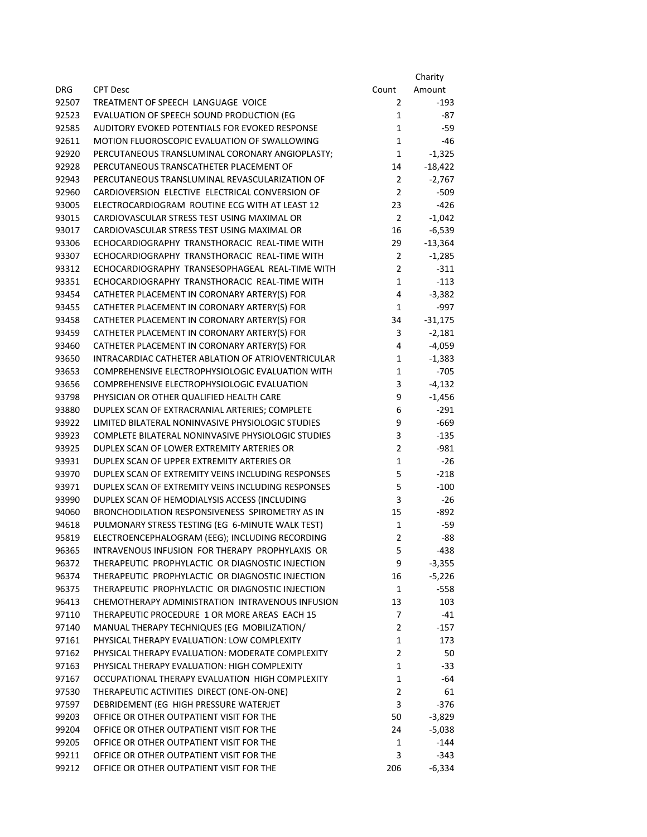|       |                                                    |                | Charity   |
|-------|----------------------------------------------------|----------------|-----------|
| DRG   | <b>CPT Desc</b>                                    | Count          | Amount    |
| 92507 | TREATMENT OF SPEECH LANGUAGE VOICE                 | 2              | -193      |
| 92523 | EVALUATION OF SPEECH SOUND PRODUCTION (EG          | $\mathbf{1}$   | -87       |
| 92585 | AUDITORY EVOKED POTENTIALS FOR EVOKED RESPONSE     | 1              | -59       |
| 92611 | MOTION FLUOROSCOPIC EVALUATION OF SWALLOWING       | $\mathbf{1}$   | -46       |
| 92920 | PERCUTANEOUS TRANSLUMINAL CORONARY ANGIOPLASTY;    | 1              | $-1,325$  |
| 92928 | PERCUTANEOUS TRANSCATHETER PLACEMENT OF            | 14             | $-18,422$ |
| 92943 | PERCUTANEOUS TRANSLUMINAL REVASCULARIZATION OF     | 2              | $-2,767$  |
| 92960 | CARDIOVERSION ELECTIVE ELECTRICAL CONVERSION OF    | 2              | $-509$    |
| 93005 | ELECTROCARDIOGRAM ROUTINE ECG WITH AT LEAST 12     | 23             | $-426$    |
| 93015 | CARDIOVASCULAR STRESS TEST USING MAXIMAL OR        | $\overline{2}$ | $-1,042$  |
| 93017 | CARDIOVASCULAR STRESS TEST USING MAXIMAL OR        | 16             | $-6,539$  |
| 93306 | ECHOCARDIOGRAPHY TRANSTHORACIC REAL-TIME WITH      | 29             | $-13,364$ |
| 93307 | ECHOCARDIOGRAPHY TRANSTHORACIC REAL-TIME WITH      | $\overline{2}$ | $-1,285$  |
| 93312 | ECHOCARDIOGRAPHY TRANSESOPHAGEAL REAL-TIME WITH    | $\overline{2}$ | $-311$    |
| 93351 | ECHOCARDIOGRAPHY TRANSTHORACIC REAL-TIME WITH      | $\mathbf{1}$   | $-113$    |
| 93454 | CATHETER PLACEMENT IN CORONARY ARTERY(S) FOR       | 4              | $-3,382$  |
| 93455 | CATHETER PLACEMENT IN CORONARY ARTERY(S) FOR       | 1              | $-997$    |
| 93458 | CATHETER PLACEMENT IN CORONARY ARTERY(S) FOR       | 34             | $-31,175$ |
| 93459 | CATHETER PLACEMENT IN CORONARY ARTERY(S) FOR       | 3              | $-2,181$  |
| 93460 | CATHETER PLACEMENT IN CORONARY ARTERY(S) FOR       | 4              | $-4,059$  |
| 93650 | INTRACARDIAC CATHETER ABLATION OF ATRIOVENTRICULAR | 1              | $-1,383$  |
| 93653 | COMPREHENSIVE ELECTROPHYSIOLOGIC EVALUATION WITH   | $\mathbf{1}$   | $-705$    |
| 93656 | COMPREHENSIVE ELECTROPHYSIOLOGIC EVALUATION        | 3              | $-4,132$  |
| 93798 | PHYSICIAN OR OTHER QUALIFIED HEALTH CARE           | 9              | $-1,456$  |
| 93880 | DUPLEX SCAN OF EXTRACRANIAL ARTERIES; COMPLETE     | 6              | $-291$    |
| 93922 | LIMITED BILATERAL NONINVASIVE PHYSIOLOGIC STUDIES  | 9              | $-669$    |
| 93923 | COMPLETE BILATERAL NONINVASIVE PHYSIOLOGIC STUDIES | 3              | $-135$    |
| 93925 | DUPLEX SCAN OF LOWER EXTREMITY ARTERIES OR         | $\overline{2}$ | $-981$    |
| 93931 | DUPLEX SCAN OF UPPER EXTREMITY ARTERIES OR         | $\mathbf{1}$   | -26       |
| 93970 | DUPLEX SCAN OF EXTREMITY VEINS INCLUDING RESPONSES | 5              | $-218$    |
| 93971 | DUPLEX SCAN OF EXTREMITY VEINS INCLUDING RESPONSES | 5              | $-100$    |
| 93990 | DUPLEX SCAN OF HEMODIALYSIS ACCESS (INCLUDING      | 3              | $-26$     |
| 94060 | BRONCHODILATION RESPONSIVENESS SPIROMETRY AS IN    | 15             | $-892$    |
| 94618 | PULMONARY STRESS TESTING (EG 6-MINUTE WALK TEST)   | $\mathbf{1}$   | -59       |
| 95819 | ELECTROENCEPHALOGRAM (EEG); INCLUDING RECORDING    | $\overline{2}$ | -88       |
| 96365 | INTRAVENOUS INFUSION FOR THERAPY PROPHYLAXIS OR    | 5              | -438      |
| 96372 | THERAPEUTIC PROPHYLACTIC OR DIAGNOSTIC INJECTION   | 9              | $-3,355$  |
| 96374 | THERAPEUTIC PROPHYLACTIC OR DIAGNOSTIC INJECTION   | 16             | $-5,226$  |
| 96375 | THERAPEUTIC PROPHYLACTIC OR DIAGNOSTIC INJECTION   | $\mathbf{1}$   | $-558$    |
| 96413 | CHEMOTHERAPY ADMINISTRATION INTRAVENOUS INFUSION   | 13             | 103       |
| 97110 | THERAPEUTIC PROCEDURE 1 OR MORE AREAS EACH 15      | 7              | $-41$     |
| 97140 | MANUAL THERAPY TECHNIQUES (EG MOBILIZATION/        | $\overline{2}$ | $-157$    |
| 97161 | PHYSICAL THERAPY EVALUATION: LOW COMPLEXITY        | $\mathbf{1}$   | 173       |
| 97162 | PHYSICAL THERAPY EVALUATION: MODERATE COMPLEXITY   | $\overline{2}$ | 50        |
| 97163 | PHYSICAL THERAPY EVALUATION: HIGH COMPLEXITY       | $\mathbf{1}$   | $-33$     |
| 97167 | OCCUPATIONAL THERAPY EVALUATION HIGH COMPLEXITY    | $\mathbf{1}$   | -64       |
| 97530 | THERAPEUTIC ACTIVITIES DIRECT (ONE-ON-ONE)         | $\overline{2}$ | 61        |
| 97597 | DEBRIDEMENT (EG HIGH PRESSURE WATERJET             | 3              | $-376$    |
| 99203 | OFFICE OR OTHER OUTPATIENT VISIT FOR THE           | 50             | $-3,829$  |
| 99204 | OFFICE OR OTHER OUTPATIENT VISIT FOR THE           | 24             | $-5,038$  |
| 99205 | OFFICE OR OTHER OUTPATIENT VISIT FOR THE           | 1              | -144      |
| 99211 | OFFICE OR OTHER OUTPATIENT VISIT FOR THE           | 3              | $-343$    |
| 99212 | OFFICE OR OTHER OUTPATIENT VISIT FOR THE           | 206            | $-6,334$  |